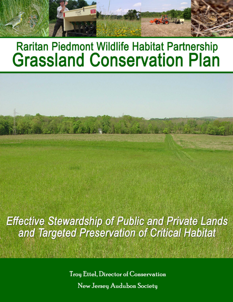# **Raritan Piedmont Wildlife Habitat Partnership Grassland Conservation Plan**

**Effective Stewardship of Public and Private Lands** and Targeted Preservation of Critical Habitat

> Troy Ettel, Director of Conservation New Jersey Audubon Society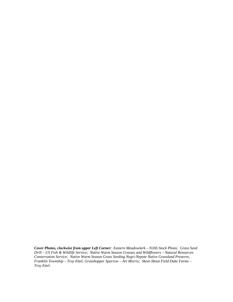*Cover Photos, clockwise from upper Left Corner: Eastern Meadowlark – NJAS Stock Photo; Grass Seed Drill – US Fish & Wildlife Service; Native Warm Season Grasses and Wildflowers – Natural Resources Conservation Service; Native Warm Season Grass Seeding Negri-Nepote Native Grassland Preserve, Franklin Township – Troy Ettel; Grasshopper Sparrow – Art Morris; Skeet-Shoot Field Duke Farms – Troy Ettel.*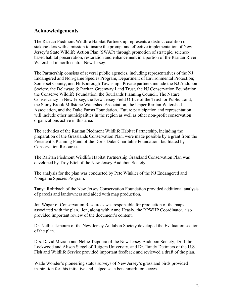## **Acknowledgements**

The Raritan Piedmont Wildlife Habitat Partnership represents a distinct coalition of stakeholders with a mission to insure the prompt and effective implementation of New Jersey's State Wildlife Action Plan (SWAP) through promotion of strategic, sciencebased habitat preservation, restoration and enhancement in a portion of the Raritan River Watershed in north central New Jersey.

The Partnership consists of several public agencies, including representatives of the NJ Endangered and Non-game Species Program, Department of Environmental Protection; Somerset County, and Hillsborough Township. Private partners include the NJ Audubon Society, the Delaware & Raritan Greenway Land Trust, the NJ Conservation Foundation, the Conserve Wildlife Foundation, the Sourlands Planning Council, The Nature Conservancy in New Jersey, the New Jersey Field Office of the Trust for Public Land, the Stony Brook Millstone Watershed Association, the Upper Raritan Watershed Association, and the Duke Farms Foundation. Future participation and representation will include other municipalities in the region as well as other non-profit conservation organizations active in this area.

The activities of the Raritan Piedmont Wildlife Habitat Partnership, including the preparation of the Grasslands Conservation Plan, were made possible by a grant from the President's Planning Fund of the Doris Duke Charitable Foundation, facilitated by Conservation Resources.

The Raritan Piedmont Wildlife Habitat Partnership Grassland Conservation Plan was developed by Troy Ettel of the New Jersey Audubon Society.

The analysis for the plan was conducted by Pete Winkler of the NJ Endangered and Nongame Species Program.

Tanya Rohrbach of the New Jersey Conservation Foundation provided additional analysis of parcels and landowners and aided with map production.

Jon Wagar of Conservation Resources was responsible for production of the maps associated with the plan. Jon, along with Anne Heasly, the RPWHP Coordinator, also provided important review of the document's content.

Dr. Nellie Tsipoura of the New Jersey Audubon Society developed the Evaluation section of the plan.

Drs. David Mizrahi and Nellie Tsipoura of the New Jersey Audubon Society, Dr. Julie Lockwood and Alison Siegel of Rutgers University, and Dr. Randy Dettmers of the U.S. Fish and Wildlife Service provided important feedback and reviewed a draft of the plan.

Wade Wonder's pioneering status surveys of New Jersey's grassland birds provided inspiration for this initiative and helped set a benchmark for success.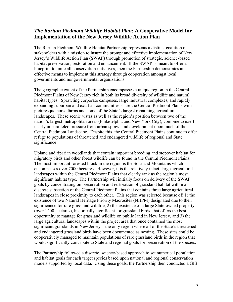## *The Raritan Piedmont Wildlife Habitat Plan***: A Cooperative Model for Implementation of the New Jersey Wildlife Action Plan**

The Raritan Piedmont Wildlife Habitat Partnership represents a distinct coalition of stakeholders with a mission to insure the prompt and effective implementation of New Jersey's Wildlife Action Plan (SWAP) through promotion of strategic, science-based habitat preservation, restoration and enhancement. If the SWAP is meant to offer a blueprint to unite all conservation initiatives, then the Partnership demonstrates an effective means to implement this strategy through cooperation amongst local governments and nongovernmental organizations.

The geographic extent of the Partnership encompasses a unique region in the Central Piedmont Plains of New Jersey rich in both its broad diversity of wildlife and natural habitat types. Sprawling corporate campuses, large industrial complexes, and rapidly expanding suburban and exurban communities share the Central Piedmont Plains with picturesque horse farms and some of the State's largest remaining agricultural landscapes. These scenic vistas as well as the region's position between two of the nation's largest metropolitan areas (Philadelphia and New York City), combine to exert nearly unparalleled pressure from urban sprawl and development upon much of the Central Piedmont Landscape. Despite this, the Central Piedmont Plains continue to offer refuge to populations of threatened and endangered wildlife of regional and State significance.

Upland and riparian woodlands that contain important breeding and stopover habitat for migratory birds and other forest wildlife can be found in the Central Piedmont Plains. The most important forested block in the region is the Sourland Mountains which encompasses over 7000 hectares. However, it is the relatively intact, large agricultural landscapes within the Central Piedmont Plains that clearly rank as the region's most significant habitat type. The Partnership will initially focus on delivery of the SWAP goals by concentrating on preservation and restoration of grassland habitat within a discrete subsection of the Central Piedmont Plains that contains three large agricultural landscapes in close proximity to each other. This region was selected because of: 1) the existence of two Natural Heritage Priority Macrosites (NHPM) designated due to their significance for rare grassland wildlife, 2) the existence of a large State-owned property (over 1200 hectares), historically significant for grassland birds, that offers the best opportunity to manage for grassland wildlife on public land in New Jersey, and 3) the large agricultural landscapes within the project area that once contained the most significant grasslands in New Jersey – the only region where all of the State's threatened and endangered grassland birds have been documented as nesting. These sites could be cooperatively managed to maintain populations of rare grassland birds in the region that would significantly contribute to State and regional goals for preservation of the species.

The Partnership followed a discrete, science-based approach to set numerical population and habitat goals for each target species based upon national and regional conservation models supported by local data. Using these goals, the Partnership then conducted a GIS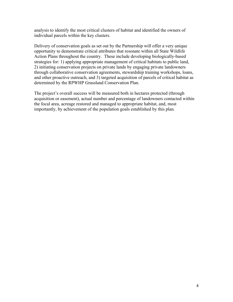analysis to identify the most critical clusters of habitat and identified the owners of individual parcels within the key clusters.

Delivery of conservation goals as set out by the Partnership will offer a very unique opportunity to demonstrate critical attributes that resonate within all State Wildlife Action Plans throughout the country. These include developing biologically-based strategies for: 1) applying appropriate management of critical habitats to public land, 2) initiating conservation projects on private lands by engaging private landowners through collaborative conservation agreements, stewardship training workshops, loans, and other proactive outreach, and 3) targeted acquisition of parcels of critical habitat as determined by the RPWHP Grassland Conservation Plan.

The project's overall success will be measured both in hectares protected (through acquisition or easement), actual number and percentage of landowners contacted within the focal area, acreage restored and managed to appropriate habitat, and, most importantly, by achievement of the population goals established by this plan.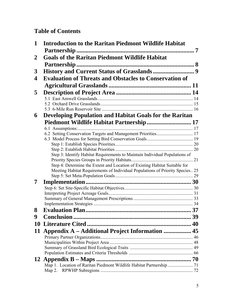# **Table of Contents**

| $\mathbf 1$                                                                       | <b>Introduction to the Raritan Piedmont Wildlife Habitat</b>                  |    |  |
|-----------------------------------------------------------------------------------|-------------------------------------------------------------------------------|----|--|
|                                                                                   |                                                                               |    |  |
| 2                                                                                 | <b>Goals of the Raritan Piedmont Wildlife Habitat</b>                         |    |  |
|                                                                                   |                                                                               |    |  |
| 3                                                                                 |                                                                               |    |  |
| <b>Evaluation of Threats and Obstacles to Conservation of</b><br>$\boldsymbol{4}$ |                                                                               |    |  |
|                                                                                   |                                                                               |    |  |
| 5                                                                                 |                                                                               |    |  |
|                                                                                   |                                                                               |    |  |
|                                                                                   |                                                                               |    |  |
|                                                                                   |                                                                               |    |  |
| 6                                                                                 | <b>Developing Population and Habitat Goals for the Raritan</b>                |    |  |
|                                                                                   | Piedmont Wildlife Habitat Partnership 17                                      |    |  |
|                                                                                   |                                                                               |    |  |
|                                                                                   | 6.2 Setting Conservation Targets and Management Priorities 17                 |    |  |
|                                                                                   |                                                                               |    |  |
|                                                                                   |                                                                               |    |  |
|                                                                                   | Step 3: Identify Habitat Requirements to Maintain Individual Populations of   |    |  |
|                                                                                   |                                                                               |    |  |
|                                                                                   | Step 4: Determine the Extent and Location of Existing Habitat Suitable for    |    |  |
|                                                                                   | Meeting Habitat Requirements of Individual Populations of Priority Species 25 |    |  |
|                                                                                   |                                                                               |    |  |
| 7                                                                                 |                                                                               |    |  |
|                                                                                   |                                                                               |    |  |
|                                                                                   |                                                                               |    |  |
|                                                                                   |                                                                               |    |  |
| 8                                                                                 | <b>Evaluation Plan</b><br>                                                    | 37 |  |
| 9                                                                                 |                                                                               |    |  |
|                                                                                   |                                                                               |    |  |
| 11                                                                                | Appendix A - Additional Project Information  45                               |    |  |
|                                                                                   |                                                                               |    |  |
|                                                                                   |                                                                               |    |  |
|                                                                                   |                                                                               |    |  |
|                                                                                   |                                                                               |    |  |
| <b>12</b>                                                                         |                                                                               |    |  |
|                                                                                   |                                                                               |    |  |
|                                                                                   |                                                                               |    |  |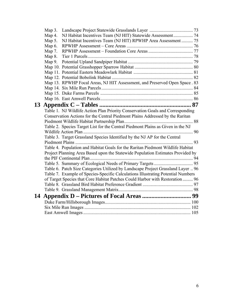|    | Map $3$ . |                                                                                  |  |
|----|-----------|----------------------------------------------------------------------------------|--|
|    | Map 4.    | NJ Habitat Incentives Team (NJ HIT) Statewide Assessment 74                      |  |
|    | Map $5$ . | NJ Habitat Incentives Team (NJ HIT) RPWHP Area Assessment  75                    |  |
|    | Map $6.$  |                                                                                  |  |
|    | Map 7.    |                                                                                  |  |
|    | Map $8.$  |                                                                                  |  |
|    | Map $9.$  |                                                                                  |  |
|    |           |                                                                                  |  |
|    |           |                                                                                  |  |
|    |           |                                                                                  |  |
|    |           | Map 13. RPWHP Focal Areas, NJ HIT Assessment, and Preserved Open Space . 83      |  |
|    |           |                                                                                  |  |
|    |           |                                                                                  |  |
|    |           |                                                                                  |  |
| 13 |           |                                                                                  |  |
|    |           | Table 1. NJ Wildlife Action Plan Priority Conservation Goals and Corresponding   |  |
|    |           | Conservation Actions for the Central Piedmont Plains Addressed by the Raritan    |  |
|    |           |                                                                                  |  |
|    |           | Table 2. Species Target List for the Central Piedmont Plains as Given in the NJ  |  |
|    |           |                                                                                  |  |
|    |           | Table 3. Target Grassland Species Identified by the NJ AP for the Central        |  |
|    |           |                                                                                  |  |
|    |           | Table 4. Population and Habitat Goals for the Raritan Piedmont Wildlife Habitat  |  |
|    |           | Project Planning Area Based upon the Statewide Population Estimates Provided by  |  |
|    |           |                                                                                  |  |
|    |           |                                                                                  |  |
|    |           | Table 6. Patch Size Categories Utilized by Landscape Project Grassland Layer  96 |  |
|    |           | Table 7. Example of Species-Specific Calculations Illustrating Potential Numbers |  |
|    |           | of Target Species that Core Habitat Patches Could Harbor with Restoration  96    |  |
|    |           |                                                                                  |  |
|    |           |                                                                                  |  |
| 14 |           |                                                                                  |  |
|    |           |                                                                                  |  |
|    |           |                                                                                  |  |
|    |           |                                                                                  |  |
|    |           |                                                                                  |  |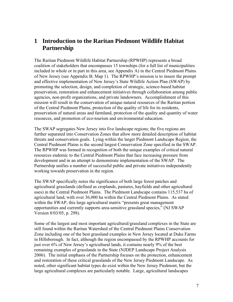# <span id="page-7-0"></span>**1 Introduction to the Raritan Piedmont Wildlife Habitat Partnership**

The Raritan Piedmont Wildlife Habitat Partnership (RPWHP) represents a broad coalition of stakeholders that encompasses 15 townships (for a full list of municipalities included in whole or in part in this area, see Appendix A) in the Central Piedmont Plains of New Jersey (see Appendix B; Map 1). The RPWHP's mission is to insure the prompt and effective implementation of New Jersey's State Wildlife Action Plan (SWAP) by promoting the selection, design, and completion of strategic, science-based habitat preservation, restoration and enhancement initiatives through collaboration among public agencies, non-profit organizations, and private landowners. Accomplishment of this mission will result in the conservation of unique natural resources of the Raritan portion of the Central Piedmont Plains, protection of the quality of life for its residents, preservation of natural areas and farmland, protection of the quality and quantity of water resources, and promotion of eco-tourism and environmental education.

The SWAP segregates New Jersey into five landscape regions; the five regions are further separated into Conservation Zones that allow more detailed description of habitat threats and conservation goals. Lying within the larger Piedmont Landscape Region, the Central Piedmont Plains is the second largest Conservation Zone specified in the SWAP. The RPWHP was formed in recognition of both the unique examples of critical natural resources endemic to the Central Piedmont Plains that face increasing pressure from development and in an attempt to demonstrate implementation of the SWAP. The Partnership unifies a number of successful public and private initiatives independently working towards preservation in the region.

The SWAP specifically notes the significance of both large forest patches and agricultural grasslands (defined as croplands, pastures, hayfields and other agricultural uses) in the Central Piedmont Plains. The Piedmont Landscape contains 115,537 ha of agricultural land, with over 36,000 ha within the Central Piedmont Plains. As stated within the SWAP, this large agricultural matrix "presents great management opportunities and currently supports area-sensitive grassland species," (NJ SWAP Version 8/03/05, p. 298).

Some of the largest and most important agricultural/grassland complexes in the State are still found within the Raritan Watershed of the Central Piedmont Plains Conservation Zone including one of the best grassland examples in New Jersey located at Duke Farms in Hillsborough. In fact, although the region encompassed by the RPWHP accounts for just over 6% of New Jersey's agricultural lands, it contains nearly 9% of the best remaining examples of grasslands in the State (NJDEP Landscape Project Analysis 2006). The initial emphasis of the Partnership focuses on the protection, enhancement and restoration of these critical grasslands of the New Jersey Piedmont Landscape. As noted, other significant habitat types do exist within the New Jersey Piedmont, but the large agricultural complexes are particularly notable. Large, agricultural landscapes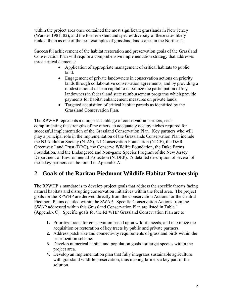<span id="page-8-0"></span>within the project area once contained the most significant grasslands in New Jersey (Wander 1981; 82); and the former extent and species diversity of these sites likely ranked them as one of the best examples of grassland landscapes in the Northeast.

Successful achievement of the habitat restoration and preservation goals of the Grassland Conservation Plan will require a comprehensive implementation strategy that addresses three critical elements:

- Application of appropriate management of critical habitats to public land.
- Engagement of private landowners in conservation actions on priority lands through collaborative conservation agreements, and by providing a modest amount of loan capital to maximize the participation of key landowners in federal and state reimbursement programs which provide payments for habitat enhancement measures on private lands.
- Targeted acquisition of critical habitat parcels as identified by the Grassland Conservation Plan.

The RPWHP represents a unique assemblage of conservation partners, each complimenting the strengths of the others, to adequately occupy niches required for successful implementation of the Grassland Conservation Plan. Key partners who will play a principal role in the implementation of the Grasslands Conservation Plan include the NJ Audubon Society (NJAS), NJ Conservation Foundation (NJCF), the D&R Greenway Land Trust (DRG), the Conserve Wildlife Foundation, the Duke Farms Foundation, and the Endangered and Non-game Species Program of the New Jersey Department of Environmental Protection (NJDEP). A detailed description of several of these key partners can be found in Appendix A.

# **2 Goals of the Raritan Piedmont Wildlife Habitat Partnership**

The RPWHP's mandate is to develop project goals that address the specific threats facing natural habitats and disrupting conservation initiatives within the focal area. The project goals for the RPWHP are derived directly from the Conservation Actions for the Central Piedmont Plains detailed within the SWAP. Specific Conservation Actions from the SWAP addressed within this Grassland Conservation Plan are listed in Table 1 (Appendix C). Specific goals for the RPWHP Grassland Conservation Plan are to:

- **1.** Prioritize tracts for conservation based upon wildlife needs, and maximize the acquisition or restoration of key tracts by public and private partners.
- **2.** Address patch size and connectivity requirements of grassland birds within the prioritization scheme.
- **3.** Develop numerical habitat and population goals for target species within the project area.
- **4.** Develop an implementation plan that fully integrates sustainable agriculture with grassland wildlife preservation, thus making farmers a key part of the solution.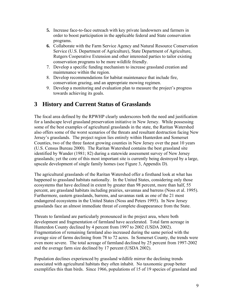- <span id="page-9-0"></span>**5.** Increase face-to-face outreach with key private landowners and farmers in order to boost participation in the applicable federal and State conservation programs.
- **6.** Collaborate with the Farm Service Agency and Natural Resource Conservation Service (U.S. Department of Agriculture), State Department of Agriculture, Rutgers Cooperative Extension and other interested parties to tailor existing conservation programs to be more wildlife friendly.
- 7. Develop a specific funding mechanism to increase grassland creation and maintenance within the region.
- 8. Develop recommendations for habitat maintenance that include fire, conservation grazing, and an appropriate mowing regimen.
- 9. Develop a monitoring and evaluation plan to measure the project's progress towards achieving its goals.

# **3 History and Current Status of Grasslands**

The focal area defined by the RPWHP clearly underscores both the need and justification for a landscape level grassland preservation initiative in New Jersey. While possessing some of the best examples of agricultural grasslands in the state, the Raritan Watershed also offers some of the worst scenarios of the threats and resultant destruction facing New Jersey's grasslands. The project region lies entirely within Hunterdon and Somerset Counties, two of the three fastest growing counties in New Jersey over the past 10 years (U.S. Census Bureau 2000). The Raritan Watershed contains the best grassland site identified by Wander (1981; 82) during a statewide assessment survey of New Jersey grasslands; yet the core of this most important site is currently being destroyed by a large, upscale development of single family homes (see Figure 3, Appendix D).

The agricultural grasslands of the Raritan Watershed offer a firsthand look at what has happened to grassland habitats nationally. In the United States, considering only those ecosystems that have declined in extent by greater than 98 percent, more than half, 55 percent, are grassland habitats including prairies, savannas and barrens (Noss et al. 1995). Furthermore, eastern grasslands, barrens, and savannas rank as one of the 21 most endangered ecosystems in the United States (Noss and Peters 1995). In New Jersey grasslands face an almost immediate threat of complete disappearance from the State.

Threats to farmland are particularly pronounced in the project area, where both development and fragmentation of farmland have accelerated. Total farm acreage in Hunterdon County declined by 4 percent from 1997 to 2002 (USDA 2002). Fragmentation of remaining farmland also increased during the same period with the average size of farms declining from 78 to 72 acres. In Somerset County, the trends were even more severe. The total acreage of farmland declined by 25 percent from 1997-2002 and the average farm size declined by 17 percent (USDA 2002).

Population declines experienced by grassland wildlife mirror the declining trends associated with agricultural habitats they often inhabit. No taxonomic group better exemplifies this than birds. Since 1966, populations of 15 of 19 species of grassland and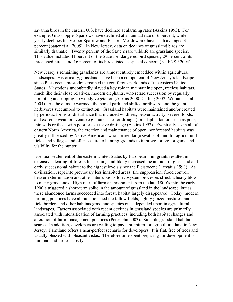savanna birds in the eastern U.S. have declined at alarming rates (Askins 1993). For example, Grasshopper Sparrows have declined at an annual rate of 6 percent, while yearly declines for Vesper Sparrow and Eastern Meadowlark have each averaged 3 percent (Sauer et al. 2005). In New Jersey, data on declines of grassland birds are similarly dramatic. Twenty percent of the State's rare wildlife are grassland species. This value includes 41 percent of the State's endangered bird species, 29 percent of its threatened birds, and 16 percent of its birds listed as special concern (NJ ENSP 2004).

New Jersey's remaining grasslands are almost entirely embedded within agricultural landscapes. Historically, grasslands have been a component of New Jersey's landscape since Pleistocene mastodons roamed the coniferous parklands of the eastern United States. Mastodons undoubtedly played a key role in maintaining open, treeless habitats, much like their close relatives, modern elephants, who retard succession by regularly uprooting and ripping up woody vegetation (Askins 2000; Catling 2002; Williams et al. 2004). As the climate warmed, the boreal parkland shifted northward and the giant herbivores succumbed to extinction. Grassland habitats were maintained and/or created by periodic forms of disturbance that included wildfires, beaver activity, severe floods, and extreme weather events (e.g., hurricanes or drought) or edaphic factors such as poor, thin soils or those with poor or excessive drainage (Askins 1993). Eventually, as in all of eastern North America, the creation and maintenance of open, nonforested habitats was greatly influenced by Native Americans who cleared large swaths of land for agricultural fields and villages and often set fire to hunting grounds to improve forage for game and visibility for the hunter.

Eventual settlement of the eastern United States by European immigrants resulted in extensive clearing of forests for farming and likely increased the amount of grassland and early successional habitat to the highest levels since the Pleistocene (Litvaitis 1993). As civilization crept into previously less inhabited areas, fire suppression, flood control, beaver extermination and other interruptions to ecosystem processes struck a heavy blow to many grasslands. High rates of farm abandonment from the late 1800's into the early 1900's triggered a short-term spike in the amount of grassland in the landscape, but as these abandoned farms succeeded into forest, habitat largely disappeared. Today, modern farming practices have all but abolished the fallow fields, lightly grazed pastures, and field borders and other habitats grassland species once depended upon in agricultural landscapes. Factors associated with recent declines in grassland species are primarily associated with intensification of farming practices, including both habitat changes and alteration of farm management practices (Peterjohn 2003). Suitable grassland habitat is scarce. In addition, developers are willing to pay a premium for agricultural land in New Jersey. Farmland offers a near-perfect scenario for developers. It is flat, free of trees and usually blessed with pleasant vistas. Therefore time spent preparing for development is minimal and far less costly.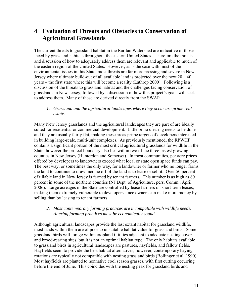# <span id="page-11-0"></span>**4 Evaluation of Threats and Obstacles to Conservation of Agricultural Grasslands**

The current threats to grassland habitat in the Raritan Watershed are indicative of those faced by grassland habitats throughout the eastern United States. Therefore the threats and discussion of how to adequately address them are relevant and applicable to much of the eastern region of the United States. However, as is the case with most of the environmental issues in this State, most threats are far more pressing and severe in New Jersey where ultimate build-out of all available land is projected over the next  $20 - 40$ years – the first state where this will become a reality (Lathrop 2000). Following is a discussion of the threats to grassland habitat and the challenges facing conservation of grasslands in New Jersey, followed by a discussion of how this project's goals will seek to address them. Many of these are derived directly from the SWAP.

#### *1. Grassland and the agricultural landscapes where they occur are prime real estate.*

Many New Jersey grasslands and the agricultural landscapes they are part of are ideally suited for residential or commercial development. Little or no clearing needs to be done and they are usually fairly flat, making these areas prime targets of developers interested in building large-scale, multi-unit complexes. As previously mentioned, the RPWHP contains a significant portion of the most critical agricultural grasslands for wildlife in the State; however the project boundary also lies within two of the three fastest growing counties in New Jersey (Hunterdon and Somerset). In most communities, per acre prices offered by developers to landowners exceed what local or state open space funds can pay. The best way, or sometimes the only way, for a landowner or farmer who no longer farms the land to continue to draw income off of the land is to lease or sell it. Over 50 percent of tillable land in New Jersey is farmed by tenant farmers. This number is as high as 80 percent in some of the northern counties (NJ Dept. of Agriculture, pers. Comm., April 2006). Large acreages in the State are controlled by lease farmers on short-term leases, making them extremely vulnerable to developers since owners can make more money by selling than by leasing to tenant farmers.

#### *2. Most contemporary farming practices are incompatible with wildlife needs. Altering farming practices must be economically sound.*

Although agricultural landscapes provide the last extant habitat for grassland wildlife, most lands within them are of poor to unsuitable habitat value for grassland birds. Some grassland birds will forage within cropland if it lies adjacent to adequate nesting cover and brood-rearing sites, but it is not an optimal habitat type. The only habitats available to grassland birds in agricultural landscapes are pastures, hayfields, and fallow fields. Hayfields seem to provide the best habitat alternatives; however, contemporary haying rotations are typically not compatible with nesting grassland birds (Bollinger et al. 1990). Most hayfields are planted to nonnative cool season grasses, with first cutting occurring before the end of June. This coincides with the nesting peak for grassland birds and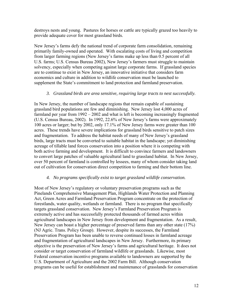destroys nests and young. Pastures for horses or cattle are typically grazed too heavily to provide adequate cover for most grassland birds.

New Jersey's farms defy the national trend of corporate farm consolidation, remaining primarily family-owned and operated. With escalating costs of living and competition from larger farming regions (New Jersey's farms make up less than 0.5 percent of all U.S. farms; U.S. Census Bureau 2002), New Jersey's farmers must struggle to maintain solvency, especially when competing against large corporate farms. If grassland species are to continue to exist in New Jersey, an innovative initiative that considers farm economics and culture in addition to wildlife conservation must be launched to supplement the State's commitment to land protection and farmland preservation.

#### *3. Grassland birds are area sensitive, requiring large tracts to nest successfully.*

In New Jersey, the number of landscape regions that remain capable of sustaining grassland bird populations are few and diminishing. New Jersey lost 4,000 acres of farmland per year from 1992 – 2002 and what is left is becoming increasingly fragmented (U.S. Census Bureau, 2002). In 1992, 22.6% of New Jersey's farms were approximately 100 acres or larger; but by 2002, only 17.1% of New Jersey farms were greater than 100 acres. These trends have severe implications for grassland birds sensitive to patch sizes and fragmentation. To address the habitat needs of many of New Jersey's grassland birds, large tracts must be converted to suitable habitat in the landscape; yet diminishing acreage of tillable land forces conservation into a position where it is competing with both active farming and development. It is difficult to convince farmers and landowners to convert large patches of valuable agricultural land to grassland habitat. In New Jersey, over 50 percent of farmland is controlled by lessees, many of whom consider taking land out of cultivation for conservation direct competition to farming and their bottom line.

#### *4. No programs specifically exist to target grassland wildlife conservation.*

Most of New Jersey's regulatory or voluntary preservation programs such as the Pinelands Comprehensive Management Plan, Highlands Water Protection and Planning Act, Green Acres and Farmland Preservation Program concentrate on the protection of forestlands, water quality, wetlands or farmland. There is no program that specifically targets grassland conservation. New Jersey's Farmland Preservation Program is extremely active and has successfully protected thousands of farmed acres within agricultural landscapes in New Jersey from development and fragmentation. As a result, New Jersey can boast a higher percentage of preserved farms than any other state (17%) (NJ Agric. Trans. Policy Group). However, despite its successes, the Farmland Preservation Program has been unable to reverse continued losses in farmland acreage and fragmentation of agricultural landscapes in New Jersey. Furthermore, its primary objective is the preservation of New Jersey's farms and agricultural heritage. It does not consider or target conservation of farmland wildlife or grasslands. Likewise, most Federal conservation incentive programs available to landowners are supported by the U.S. Department of Agriculture and the 2002 Farm Bill. Although conservation programs can be useful for establishment and maintenance of grasslands for conservation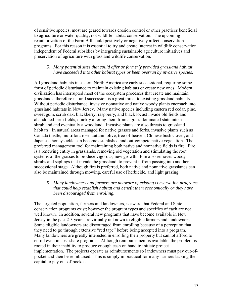of sensitive species, most are geared towards erosion control or other practices beneficial to agriculture or water quality, not wildlife habitat conservation. The upcoming reauthorization of the Farm Bill could positively or negatively affect conservation programs. For this reason it is essential to try and create interest in wildlife conservation independent of Federal subsidies by integrating sustainable agriculture initiatives and preservation of agriculture with grassland wildlife conservation.

#### *5. Many potential sites that could offer or formerly provided grassland habitat have succeeded into other habitat types or been overrun by invasive species.*

All grassland habitats in eastern North America are early successional, requiring some form of periodic disturbance to maintain existing habitats or create new ones. Modern civilization has interrupted most of the ecosystem processes that create and maintain grasslands; therefore natural succession is a great threat to existing grassland habitats. Without periodic disturbance, invasive nonnative and native woody plants encroach into grassland habitats in New Jersey. Many native species including eastern red cedar, pine, sweet gum, scrub oak, blackberry, raspberry, and black locust invade old fields and abandoned farm fields, quickly altering them from a grass-dominated state into a shrubland and eventually a woodland. Invasive plants are also threats to grassland habitats. In natural areas managed for native grasses and forbs, invasive plants such as Canada thistle, multiflora rose, autumn olive, tree-of-heaven, Chinese bush clover, and Japanese honeysuckle can become established and out-compete native vegetation. The preferred management tool for maintaining both native and nonnative fields is fire. Fire is a renewing entity in grasslands, removing old vegetation and stimulating the root systems of the grasses to produce vigorous, new growth. Fire also removes woody shrubs and saplings that invade the grassland, to prevent it from passing into another successional stage. Although fire is preferred, both native and nonnative grasslands can also be maintained through mowing, careful use of herbicide, and light grazing.

*6. Many landowners and farmers are unaware of existing conservation programs that could help establish habitat and benefit them economically or they have been discouraged from enrolling.* 

The targeted population, farmers and landowners, is aware that Federal and State conservation programs exist; however the program types and specifics of each are not well known. In addition, several new programs that have become available in New Jersey in the past 2-3 years are virtually unknown to eligible farmers and landowners. Some eligible landowners are discouraged from enrolling because of a perception that they need to go through extensive "red tape" before being accepted into a program. Many landowners are greatly interested in enrolling their property but cannot afford to enroll even in cost-share programs. Although reimbursement is available, the problem is rooted in their inability to produce enough cash on hand to initiate project implementation. The projects operate as reimbursements so landowners must pay out-ofpocket and then be reimbursed. This is simply impractical for many farmers lacking the capital to pay out-of-pocket.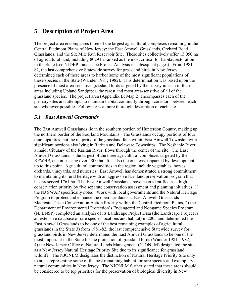## <span id="page-14-0"></span>**5 Description of Project Area**

The project area encompasses three of the largest agricultural complexes remaining in the Central Piedmont Plains of New Jersey: the East Amwell Grasslands, Orchard Road Grasslands, and the Six Mile Run Reservoir Site. These sites collectively offer 15,050 ha of agricultural land, including 8029 ha ranked as the most critical for habitat restoration in the State (see NJDEP Landscape Project Analysis in subsequent pages). From 1981- 82, the last comprehensive Statewide survey for grassland birds in New Jersey determined each of these areas to harbor some of the most significant populations of these species in the State (Wander 1981; 1982). This determination was based upon the presence of most area-sensitive grassland birds targeted by the survey in each of these areas including Upland Sandpiper, the rarest and most area-sensitive of all of the grassland species. The project area (Appendix B; Map 2) encompasses each of the primary sites and attempts to maintain habitat continuity through corridors between each site wherever possible. Following is a more thorough description of each site.

## *5.1 East Amwell Grasslands*

The East Amwell Grasslands lie in the southern portion of Hunterdon County, making up the northern border of the Sourland Mountains. The Grasslands occupy portions of four municipalities, but the majority of the grassland falls within East Amwell Township with significant portions also lying in Raritan and Delaware Townships. The Neshanic River, a major tributary of the Raritan River, flows through the center of the site. The East Amwell Grasslands is the largest of the three agricultural complexes targeted by the RPWHP, encompassing over 4800 ha. It is also the one least impacted by development up to this point. Agricultural commodities in the region include vegetables, horses, orchards, vineyards, and nurseries. East Amwell has demonstrated a strong commitment to maintaining its rural heritage with an aggressive farmland preservation program that has preserved 1761 ha. The East Amwell Grasslands have been identified as a high conservation priority by five separate conservation assessment and planning initiatives: 1) the NJ SWAP specifically noted "Work with local governments and the Natural Heritage Program to protect and enhance the open farmlands at East Amwell Grasslands Macrosite," as a Conservation Action Priority within the Central Piedmont Plains, 2) the Department of Environmental Protection's Endangered and Nongame Species Program (NJ ENSP) completed an analysis of its Landscape Project Data (the Landscape Project is an extensive database of rare species locations and habitat) in 2005 and determined the East Amwell Grasslands to be one of the best remaining examples of agricultural grasslands in the State 3) from 1981-82, the last comprehensive Statewide survey for grassland birds in New Jersey determined the East Amwell Grasslands to be one of the most important in the State for the protection of grassland birds (Wander 1981; 1982), 4) the New Jersey Office of Natural Lands Management (NJONLM) designated the site as a New Jersey Natural Heritage Priority Site due to its significance for grassland wildlife. The NJONLM designates the distinction of Natural Heritage Priority Site only to areas representing some of the best remaining habitat for rare species and exemplary natural communities in New Jersey. The NJONLM further stated that these areas should be considered to be top priorities for the preservation of biological diversity in New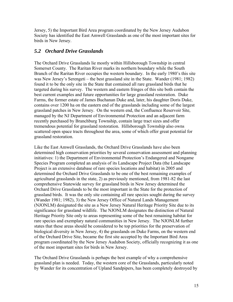<span id="page-15-0"></span>Jersey, 5) the Important Bird Area program coordinated by the New Jersey Audubon Society has identified the East Amwell Grasslands as one of the most important sites for birds in New Jersey.

## *5.2 Orchard Drive Grasslands*

The Orchard Drive Grasslands lie mostly within Hillsborough Township in central Somerset County. The Raritan River marks its northern boundary while the South Branch of the Raritan River occupies the western boundary. In the early 1980's this site was New Jersey's Serengeti – the best grassland site in the State. Wander (1981; 1982) found it to be the only site in the State that contained all rare grassland birds that he targeted during his survey. The western and eastern fringes of this site both contain the best current examples and future opportunities for large grassland restoration. Duke Farms, the former estate of James Buchanan Duke and, later, his daughter Doris Duke, contains over 1200 ha on the eastern end of the grasslands including some of the largest grassland patches in New Jersey. On the western end, the Confluence Reservoir Site, managed by the NJ Department of Environmental Protection and an adjacent farm recently purchased by Branchburg Township, contain large tract sizes and offer tremendous potential for grassland restoration. Hillsborough Township also owns scattered open space tracts throughout the area, some of which offer great potential for grassland restoration.

Like the East Amwell Grasslands, the Orchard Drive Grasslands have also been determined high conservation priorities by several conservation assessment and planning initiatives: 1) the Department of Environmental Protection's Endangered and Nongame Species Program completed an analysis of its Landscape Project Data (the Landscape Project is an extensive database of rare species locations and habitat) in 2005 and determined the Orchard Drive Grasslands to be one of the best remaining examples of agricultural grasslands in the state, 2) as previously mentioned, from 1981-82 the last comprehensive Statewide survey for grassland birds in New Jersey determined the Orchard Drive Grasslands to be the most important in the State for the protection of grassland birds. It was the only site containing all rare species sought during the survey (Wander 1981; 1982), 3) the New Jersey Office of Natural Lands Management (NJONLM) designated the site as a New Jersey Natural Heritage Priority Site due to its significance for grassland wildlife. The NJONLM designates the distinction of Natural Heritage Priority Site only to areas representing some of the best remaining habitat for rare species and exemplary natural communities in New Jersey. The NJONLM further states that these areas should be considered to be top priorities for the preservation of biological diversity in New Jersey, 4) the grasslands on Duke Farms, on the western end of the Orchard Drive Site, became the first site accepted by the Important Bird Area program coordinated by the New Jersey Audubon Society, officially recognizing it as one of the most important sites for birds in New Jersey.

The Orchard Drive Grasslands is perhaps the best example of why a comprehensive grassland plan is needed. Today, the western core of the Grasslands, particularly noted by Wander for its concentration of Upland Sandpipers, has been completely destroyed by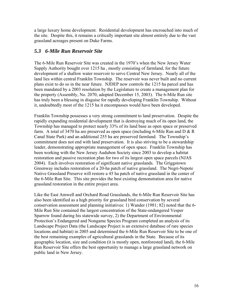<span id="page-16-0"></span>a large luxury home development. Residential development has encroached into much of the site. Despite this, it remains a critically important site almost entirely due to the vast grassland acreages present on Duke Farms.

## *5.3 6-Mile Run Reservoir Site*

The 6-Mile Run Reservoir Site was created in the 1970's when the New Jersey Water Supply Authority bought over 1215 ha , mostly consisting of farmland, for the future development of a shallow water reservoir to serve Central New Jersey. Nearly all of the land lies within central Franklin Township. The reservoir was never built and no current plans exist to do so in the near future. NJDEP now controls the 1215 ha parcel and has been mandated by a 2003 resolution by the Legislature to create a management plan for the property (Assembly, No. 2070, adopted December 15, 2003). The 6-Mile Run site has truly been a blessing in disguise for rapidly developing Franklin Township. Without it, undoubtedly most of the 1215 ha it encompasses would have been developed.

Franklin Township possesses a very strong commitment to land preservation. Despite the rapidly expanding residential development that is destroying much of its open land, the Township has managed to protect nearly 33% of its land base as open space or preserved farm. A total of 3470 ha are preserved as open space (including 6-Mile Run and  $D \& R$ ) Canal State Park) and an additional 255 ha are preserved farmland. The Township's commitment does not end with land preservation. It is also striving to be a stewardship leader, demonstrating appropriate management of open space. Franklin Township has been working with the New Jersey Audubon Society since 2003 to develop a habitat restoration and passive recreation plan for two of its largest open space parcels (NJAS 2004). Each involves restoration of significant native grasslands. The Griggstown Greenway includes restoration of a 20-ha patch of native grassland. The Negri-Nepote Native Grassland Preserve will restore a 45 ha patch of native grassland in the center of the 6-Mile Run Site. This site provides the best existing demonstration area for native grassland restoration in the entire project area.

Like the East Amwell and Orchard Road Grasslands, the 6-Mile Run Reservoir Site has also been identified as a high priority for grassland bird conservation by several conservation assessment and planning initiatives: 1) Wander (1981; 82) noted that the 6- Mile Run Site contained the largest concentration of the State-endangered Vesper Sparrow found during his statewide survey, 2) the Department of Environmental Protection's Endangered and Nongame Species Program completed an analysis of its Landscape Project Data (the Landscape Project is an extensive database of rare species locations and habitat) in 2005 and determined the 6-Mile Run Reservoir Site to be one of the best remaining examples of agricultural grasslands in the State. Because of its geographic location, size and condition (it is mostly open, nonforested land), the 6-Mile Run Reservoir Site offers the best opportunity to manage a large grassland network on public land in New Jersey.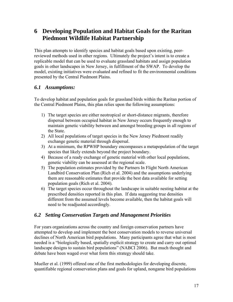# <span id="page-17-0"></span>**6 Developing Population and Habitat Goals for the Raritan Piedmont Wildlife Habitat Partnership**

This plan attempts to identify species and habitat goals based upon existing, peerreviewed methods used in other regions. Ultimately the project's intent is to create a replicable model that can be used to evaluate grassland habitats and assign population goals in other landscapes in New Jersey, in fulfillment of the SWAP. To develop the model, existing initiatives were evaluated and refined to fit the environmental conditions presented by the Central Piedmont Plains.

## *6.1 Assumptions:*

To develop habitat and population goals for grassland birds within the Raritan portion of the Central Piedmont Plains, this plan relies upon the following assumptions:

- 1) The target species are either neotropical or short-distance migrants, therefore dispersal between occupied habitat in New Jersey occurs frequently enough to maintain genetic viability between and amongst breeding groups in all regions of the State.
- 2) All local populations of target species in the New Jersey Piedmont readily exchange genetic material through dispersal.
- 3) At a minimum, the RPWHP boundary encompasses a metapopulation of the target species that likely extends beyond the project boundary.
- 4) Because of a ready exchange of genetic material with other local populations, genetic viability can be assessed at the regional scale.
- 5) The population estimates provided by the Partners In Flight North American Landbird Conservation Plan (Rich et al. 2004) and the assumptions underlying them are reasonable estimates that provide the best data available for setting population goals (Rich et al. 2004).
- 6) The target species occur throughout the landscape in suitable nesting habitat at the prescribed densities reported in this plan. If data suggesting true densities different from the assumed levels become available, then the habitat goals will need to be readjusted accordingly.

## *6.2 Setting Conservation Targets and Management Priorities*

For years organizations across the country and foreign conservation partners have attempted to develop and implement the best conservation models to reverse universal declines of North American bird populations. Many participants agree that what is most needed is a "biologically based, spatially explicit strategy to create and carry out optimal landscape designs to sustain bird populations" (NABCI 2006). But much thought and debate have been waged over what form this strategy should take.

Mueller et al. (1999) offered one of the first methodologies for developing discrete, quantifiable regional conservation plans and goals for upland, nongame bird populations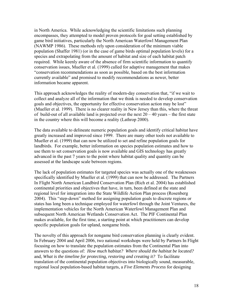in North America. While acknowledging the scientific limitations such planning encompasses, they attempted to model proven protocols for goal setting established by game bird initiatives, particularly the North American Waterfowl Management Plan (NAWMP 1986). These methods rely upon consideration of the minimum viable population (Shaffer 1981) (or in the case of game birds optimal population levels) for a species and extrapolating from the amount of habitat and size of each habitat patch required. While keenly aware of the absence of firm scientific information to quantify conservation issues, Mueller et al. (1999) called for adaptive management that makes "conservation recommendations as soon as possible, based on the best information currently available" and promised to modify recommendations as newer, better information became apparent.

This approach acknowledges the reality of modern-day conservation that, "if we wait to collect and analyze all of the information that we think is needed to develop conservation goals and objectives, the opportunity for effective conservation action may be lost" (Mueller et al. 1999). There is no clearer reality in New Jersey than this, where the threat of build-out of all available land is projected over the next  $20 - 40$  years – the first state in the country where this will become a reality (Lathrop 2000).

The data available to delineate numeric population goals and identify critical habitat have greatly increased and improved since 1999. There are many other tools not available to Mueller et al. (1999) that can now be utilized to set and refine population goals for landbirds. For example, better information on species population estimates and how to use them to set conservation goals is now available and GIS technology has greatly advanced in the past 7 years to the point where habitat quality and quantity can be assessed at the landscape scale between regions.

The lack of population estimates for targeted species was actually one of the weaknesses specifically identified by Mueller et al. (1999) that can now be addressed. The Partners In Flight North American Landbird Conservation Plan (Rich et al. 2004) has established continental priorities and objectives that have, in turn, been defined at the state and regional level for integration into the State Wildlife Action Plan process (Rosenberg 2004). This "step-down" method for assigning population goals to discrete regions or states has long been a technique employed for waterfowl through the Joint Ventures, the implementation vehicles for the North American Waterfowl Management Plan and subsequent North American Wetlands Conservation Act. The PIF Continental Plan makes available, for the first time, a starting point at which practitioners can develop specific population goals for upland, nongame birds.

The novelty of this approach for nongame bird conservation planning is clearly evident. In February 2004 and April 2006, two national workshops were held by Partners In Flight focusing on how to translate the population estimates from the Continental Plan into answers to the questions of: *How much habitat? Where should the habitat be located?*  and*, What is the timeline for protecting, restoring and creating it?* To facilitate translation of the continental population objectives into biologically sound, measurable, regional local population-based habitat targets, a *Five Elements Process* for designing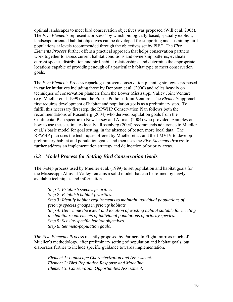<span id="page-19-0"></span>optimal landscapes to meet bird conservation objectives was proposed (Will et al. 2005). The *Five Elements* represent a process "by which biologically-based, spatially explicit, landscape-oriented habitat objectives can be developed for supporting and sustaining bird populations at levels recommended through the objectives set by PIF." The *Five Elements Process* further offers a practical approach that helps conservation partners work together to assess current habitat conditions and ownership patterns, evaluate current species distribution and bird-habitat relationships, and determine the appropriate locations capable of providing enough of a particular habitat type to meet conservation goals.

The *Five Elements Process* repackages proven conservation planning strategies proposed in earlier initiatives including those by Donovan et al. (2000) and relies heavily on techniques of conservation planners from the Lower Mississippi Valley Joint Venture (e.g. Mueller et al. 1999) and the Prairie Potholes Joint Venture. The *Elements* approach first requires development of habitat and population goals as a preliminary step. To fulfill this necessary first step, the RPWHP Conservation Plan follows both the recommendations of Rosenberg (2004) who derived population goals from the Continental Plan specific to New Jersey and Altman (2004) who provided examples on how to use these estimates locally. Rosenberg (2004) recommends adherence to Mueller et al.'s basic model for goal setting, in the absence of better, more local data. The RPWHP plan uses the techniques offered by Mueller et al. and the LMVJV to develop preliminary habitat and population goals, and then uses the *Five Elements Process* to further address an implementation strategy and delineation of priority areas.

## *6.3 Model Process for Setting Bird Conservation Goals*

The 6-step process used by Mueller et al. (1999) to set population and habitat goals for the Mississippi Alluvial Valley remains a solid model that can be refined by newly available techniques and information.

*Step 1: Establish species priorities. Step 2: Establish habitat priorities. Step 3: Identify habitat requirements to maintain individual populations of priority species groups in priority habitats. Step 4: Determine the extent and location of existing habitat suitable for meeting the habitat requirements of individual populations of priority species. Step 5: Set site-specific habitat objectives. Step 6: Set meta-population goals.* 

*The Five Elements Process* recently proposed by Partners In Flight, mirrors much of Mueller's methodology, after preliminary setting of population and habitat goals, but elaborates further to include specific guidance towards implementation.

*Element 1: Landscape Characterization and Assessment. Element 2: Bird Population Response and Modeling. Element 3: Conservation Opportunities Assessment.*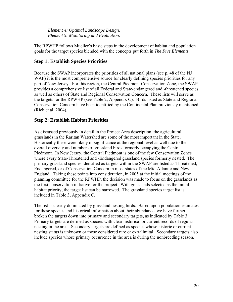<span id="page-20-0"></span> *Element 4: Optimal Landscape Design. Element 5: Monitoring and Evaluation.* 

The RPWHP follows Mueller's basic steps in the development of habitat and population goals for the target species blended with the concepts put forth in *The Five Elements*.

## **Step 1: Establish Species Priorities**

Because the SWAP incorporates the priorities of all national plans (see p. 48 of the NJ WAP) it is the most comprehensive source for clearly defining species priorities for any part of New Jersey. For this region, the Central Piedmont Conservation Zone, the SWAP provides a comprehensive list of all Federal and State-endangered and -threatened species as well as others of State and Regional Conservation Concern. These lists will serve as the targets for the RPWHP (see Table 2; Appendix C). Birds listed as State and Regional Conservation Concern have been identified by the Continental Plan previously mentioned (Rich et al. 2004).

## **Step 2: Establish Habitat Priorities**

As discussed previously in detail in the Project Area description, the agricultural grasslands in the Raritan Watershed are some of the most important in the State. Historically these were likely of significance at the regional level as well due to the overall diversity and numbers of grassland birds formerly occupying the Central Piedmont. In New Jersey, the Central Piedmont is one of the few Conservation Zones where every State-Threatened and -Endangered grassland species formerly nested. The primary grassland species identified as targets within the SWAP are listed as Threatened, Endangered, or of Conservation Concern in most states of the Mid-Atlantic and New England. Taking these points into consideration, in 2005 at the initial meetings of the planning committee for the RPWHP, the decision was made to focus on the grasslands as the first conservation initiative for the project. With grasslands selected as the initial habitat priority, the target list can be narrowed. The grassland species target list is included in Table 3, Appendix C.

The list is clearly dominated by grassland nesting birds. Based upon population estimates for these species and historical information about their abundance, we have further broken the targets down into primary and secondary targets, as indicated by Table 3. Primary targets are defined as species with clear historical or current records of regular nesting in the area. Secondary targets are defined as species whose historic or current nesting status is unknown or those considered rare or extralimital. Secondary targets also include species whose primary occurrence in the area is during the nonbreeding season.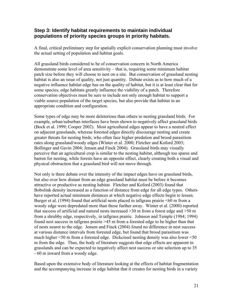## <span id="page-21-0"></span>**Step 3: Identify habitat requirements to maintain individual populations of priority species groups in priority habitats.**

A final, critical preliminary step for spatially explicit conservation planning must involve the actual setting of population and habitat goals.

All grassland birds considered to be of conservation concern in North America demonstrate some level of area sensitivity – that is, requiring some minimum habitat patch size before they will choose to nest on a site. But conservation of grassland nesting habitat is also an issue of quality, not just quantity. Debate exists as to how much of a negative influence habitat edge has on the quality of habitat, but it is at least clear that for some species, edge habitats greatly influence the viability of a patch. Therefore conservation objectives must be sure to include not only enough habitat to support a viable source population of the target species, but also provide that habitat in an appropriate condition and configuration.

Some types of edge may be more deleterious than others to nesting grassland birds. For example, urban/suburban interfaces have been shown to negatively affect grassland birds (Bock et al. 1999; Cooper 2002). Most agricultural edges appear to have a neutral effect on adjacent grasslands, whereas forested edges directly discourage nesting and create greater threats for nesting birds, who often face higher predation and brood parasitism rates along grassland/woody edges (Winter et al. 2000; Fletcher and Koford 2003; Bollinger and Gavin 2004; Jensen and Finck 2004). Grassland birds may visually perceive that an agricultural crop is similar to the nesting habitat, although too sparse and barren for nesting, while forests have an opposite effect, clearly creating both a visual and physical obstruction that a grassland bird will not move through.

Not only is there debate over the intensity of the impact edges have on grassland birds, but also over how distant from an edge grassland habitat must be before it becomes attractive or productive as nesting habitat. Fletcher and Koford (2003) found that Bobolink density increased as a function of distance from edge for all edge types. Others have reported actual minimum distances at which negative edge effects begin to lessen. Burger et al. (1994) found that artificial nests placed in tallgrass prairie <60 m from a woody edge were depredated more than those further away. Winter et al. (2000) reported that success of artificial and natural nests increased  $>$ 30 m from a forest edge and  $>$ 50 m from a shrubby edge, respectively, in tallgrass prairie. Johnson and Temple (1984; 1994) found nest success in tallgrass prairie >45 m from a forested edge to be higher than that of nests nearer to the edge. Jensen and Finck (2004) found no difference in nest success at various distance intervals from forested edge, but found that brood parasitism was much higher <50 m from a forested edge. Dickcissel nesting density was also lower <50 m from the edge. Thus, the body of literature suggests that edge effects are apparent in grasslands and can be expected to negatively affect nest success or site selection up to 35 - 60 m inward from a woody edge.

Based upon the extensive body of literature looking at the effects of habitat fragmentation and the accompanying increase in edge habitat that it creates for nesting birds in a variety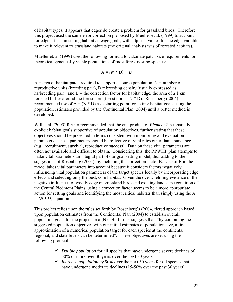of habitat types, it appears that edges do create a problem for grassland birds. Therefore this project used the same error correction proposed by Mueller et al. (1999) to account for edge effects in setting habitat acreage goals, with adjusted values for the edge variable to make it relevant to grassland habitats (the original analysis was of forested habitats).

Mueller et. al (1999) used the following formula to calculate patch size requirements for theoretical genetically viable populations of most forest nesting species:

$$
A = (N * D) + B
$$

 $A$  = area of habitat patch required to support a source population,  $N$  = number of reproductive units (breeding pair),  $D =$  breeding density (usually expressed as ha/breeding pair), and  $B =$  the correction factor for habitat edge, the area of a 1 km forested buffer around the forest core (forest core  $=N * D$ ). Rosenberg (2004) recommended use of  $A = (N * D)$  as a starting point for setting habitat goals using the population estimates provided by the Continental Plan (2004) until a better method is developed.

Will et al. (2005) further recommended that the end product of *Element 2* be spatially explicit habitat goals supportive of population objectives, further stating that these objectives should be presented in terms consistent with monitoring and evaluation parameters. These parameters should be reflective of vital rates other than abundance (e.g., recruitment, survival, reproductive success). Data on these vital parameters are often not available and difficult to obtain. Considering this, the RPWHP plan attempts to make vital parameters an integral part of our goal setting model, thus adding to the suggestions of Rosenberg (2004), by including the correction factor B. Use of B in the model takes vital parameters into account because it considers factors negatively influencing vital population parameters of the target species locally by incorporating edge effects and selecting only the best, core habitat. Given the overwhelming evidence of the negative influences of woody edge on grassland birds and existing landscape condition of the Central Piedmont Plains, using a correction factor seems to be a more appropriate action for setting goals and identifying the most critical habitats than simply using the *A*   $=(N * D)$  equation.

This project relies upon the rules set forth by Rosenberg's (2004) tiered approach based upon population estimates from the Continental Plan (2004) to establish overall population goals for the project area (N). He further suggests that, "by combining the suggested population objectives with our initial estimates of population size, a first approximation of a numerical population target for each species at the continental, regional, and state levels can be determined". These objectives are set using the following protocol:

- 9 *Double population* for all species that have undergone severe declines of 50% or more over 30 years over the next 30 years.
- $\checkmark$  *Increase population by 50%* over the next 30 years for all species that have undergone moderate declines (15-50% over the past 30 years).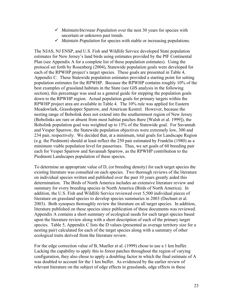- 9 *Maintain/Increase Population* over the nest 30 years for species with uncertain or unknown past trends.
- 9 *Maintain Population* for species with stable or increasing populations.

The NJAS, NJ ENSP, and U.S. Fish and Wildlife Service developed State population estimates for New Jersey's land birds using estimates provided by the PIF Continental Plan (see Appendix A for a complete list of these population estimates). Using the protocol set forth by Rosenberg (2004), Statewide population goals were developed for each of the RPWHP project's target species. These goals are presented in Table 4, Appendix C. These Statewide population estimates provided a starting point for setting population estimates for the RPWHP. Because the RPWHP contains roughly 10% of the best examples of grassland habitats in the State (see GIS analysis in the following section), this percentage was used as a general guide for stepping the population goals down to the RPWHP region. Actual population goals for primary targets within the RPWHP project area are available in Table 4. The 10% rule was applied for Eastern Meadowlark, Grasshopper Sparrow, and American Kestrel. However, because the nesting range of Bobolink does not extend into the southernmost region of New Jersey (Bobolinks are rare or absent from most habitat patches there [Walsh et al. 1999]), the Bobolink population goal was weighted up to 15% of the Statewide goal. For Savannah and Vesper Sparrow, the Statewide population objectives were extremely low, 300 and 234 pair, respectively. We decided that, at a minimum, total goals for Landscape Region (e.g. the Piedmont) should at least reflect the 250 pair estimated by Franklin (1980) as a minimum viable population level for passerines. Thus, we set goals of 60 breeding pair each for Vesper Sparrow and Savannah Sparrow, as the RPWHP contribution to the Piedmont Landscapes population of these species.

To determine an appropriate value of D, (or breeding density) for each target species the existing literature was consulted on each species. Two thorough reviews of the literature on individual species written and published over the past 10 years greatly aided this determination. The Birds of North America includes an extensive literature review and summary for every breeding species in North America (Birds of North America). In addition, the U.S. Fish and Wildlife Service reviewed over 5,500 individual pieces of literature on grassland species to develop species summaries in 2003 (Dechant et al. 2003). Both synopses thoroughly review the literature on all target species. In addition, literature published on these species since publication of these documents was reviewed. Appendix A contains a short summary of ecological needs for each target species based upon the literature review along with a short description of each of the primary target species. Table 5, Appendix C lists the D values (presented as average territory size for a nesting pair) calculated for each of the target species along with a summary of other ecological traits derived from the literature review.

For the edge correction value of B, Mueller et al. (1999) chose to use a 1 km buffer. Lacking the capability to apply this to forest patches throughout the region of varying configuration, they also chose to apply a doubling factor in which the final estimate of A was doubled to account for the 1 km buffer. As evidenced by the earlier review of relevant literature on the subject of edge effects in grasslands, edge effects in these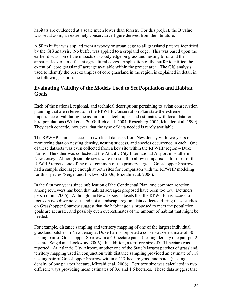habitats are evidenced at a scale much lower than forests. For this project, the B value was set at 50 m, an extremely conservative figure derived from the literature.

A 50 m buffer was applied from a woody or urban edge to all grassland patches identified by the GIS analysis. No buffer was applied to a cropland edge. This was based upon the earlier discussion of the impacts of woody edge on grassland nesting birds and the apparent lack of an effect at agricultural edges. Application of the buffer identified the extent of "core grassland" acreage available within the project area. The GIS analysis used to identify the best examples of core grassland in the region is explained in detail in the following section.

## **Evaluating Validity of the Models Used to Set Population and Habitat Goals**

Each of the national, regional, and technical descriptions pertaining to avian conservation planning that are referred to in the RPWHP Conservation Plan state the extreme importance of validating the assumptions, techniques and estimates with local data for bird populations (Will et al. 2005; Rich et al. 2004; Rosenberg 2004; Mueller et al. 1999). They each concede, however, that the type of data needed is rarely available.

The RPWHP plan has access to two local datasets from New Jersey with two years of monitoring data on nesting density, nesting success, and species occurrence in each. One of these datasets was even collected from a key site within the RPWHP region – Duke Farms. The other was collected at the Atlantic City International Airport in southern New Jersey. Although sample sizes were too small to allow comparisons for most of the RPWHP targets, one of the most common of the primary targets, Grasshopper Sparrow, had a sample size large enough at both sites for comparison with the RPWHP modeling for this species (Seigel and Lockwood 2006; Mizrahi et al. 2006).

In the first two years since publication of the Continental Plan, one common reaction among reviewers has been that habitat acreages proposed have been too low (Dettmers pers. comm. 2006). Although the New Jersey datasets that the RPWHP has access to focus on two discrete sites and not a landscape region, data collected during these studies on Grasshopper Sparrow suggest that the habitat goals proposed to meet the population goals are accurate, and possibly even overestimates of the amount of habitat that might be needed.

For example, distance sampling and territory mapping of one of the largest individual grassland patches in New Jersey at Duke Farms, reported a conservative estimate of 30 nesting pair of Grasshopper Sparrow in a 60-hectare patch (nesting density one pair per 2 hectare, Seigel and Lockwood 2006). In addition, a territory size of 0.51 hectare was reported. At Atlantic City Airport, another one of the State's largest patches of grassland, territory mapping used in conjunction with distance sampling provided an estimate of 118 nesting pair of Grasshopper Sparrow within a 117-hectare grassland patch (nesting density of one pair per hectare, Mizrahi et al. 2006). Territory size was calculated in two different ways providing mean estimates of 0.6 and 1.6 hectares. These data suggest that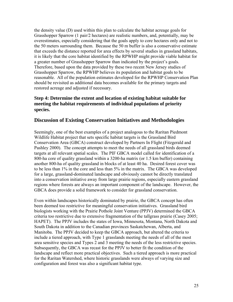<span id="page-25-0"></span>the density value (D) used within this plan to calculate the habitat acreage goals for Grasshopper Sparrow (1 pair/2 hectares) are realistic numbers, and, potentially, may be overestimates, especially considering that the goals apply to core hectares only and not to the 50 meters surrounding them. Because the 50 m buffer is also a conservative estimate that exceeds the distance reported for area effects by several studies in grassland habitats, it is likely that the core habitat identified by the RPWHP might provide viable habitat for a greater number of Grasshopper Sparrow than indicated by the project's goals. Therefore, based upon the data provided by these two recent New Jersey studies of Grasshopper Sparrow, the RPWHP believes its population and habitat goals to be reasonable. All of the population estimates developed for the RPWHP Conservation Plan should be revisited as additional data becomes available for the primary targets and restored acreage and adjusted if necessary.

#### **Step 4: Determine the extent and location of existing habitat suitable for meeting the habitat requirements of individual populations of priority species.**

## **Discussion of Existing Conservation Initiatives and Methodologies**

Seemingly, one of the best examples of a project analogous to the Raritan Piedmont Wildlife Habitat project that sets specific habitat targets is the Grassland Bird Conservation Area (GBCA) construct developed by Partners In Flight (Fitzgerald and Pashley 2000). The concept attempts to meet the needs of all grassland birds deemed targets at all relevant spatial scales. The PIF GBCA model called for identification of a 800-ha core of quality grassland within a 3200-ha matrix (or 1.5 km buffer) containing another 800-ha of quality grassland in blocks of at least 40 ha. Desired forest cover was to be less than 1% in the core and less than 5% in the matrix. The GBCA was developed for a large, grassland-dominated landscape and obviously cannot be directly translated into a conservation initiative away from large prairie regions, especially eastern grassland regions where forests are always an important component of the landscape. However, the GBCA does provide a solid framework to consider for grassland conservation.

Even within landscapes historically dominated by prairie, the GBCA concept has often been deemed too restrictive for meaningful conservation initiatives. Grassland bird biologists working with the Prairie Pothole Joint Venture (PPJV) determined the GBCA criteria too restrictive due to extensive fragmentation of the tallgrass prairie (Casey 2005; HAPET). The PPJV includes the states of Iowa, Minnesota, Montana, North Dakota and South Dakota in addition to the Canadian provinces Saskatchewan, Alberta, and Manitoba. The PPJV decided to keep the GBCA approach, but altered the criteria to include a tiered approach, with Type 1 grasslands meeting the needs of all of the most area sensitive species and Types 2 and 3 meeting the needs of the less restrictive species. Subsequently, the GBCA was recast for the PPJV to better fit the condition of the landscape and reflect more practical objectives. Such a tiered approach is more practical for the Raritan Watershed, where historic grasslands were always of varying size and configuration and forest was also a significant habitat type.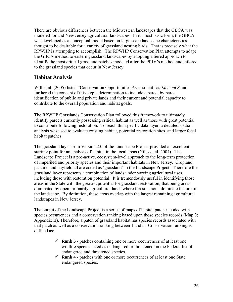There are obvious differences between the Midwestern landscapes that the GBCA was modeled for and New Jersey agricultural landscapes. In its most basic form, the GBCA was developed as a conceptual model based on large scale landscape characteristics thought to be desirable for a variety of grassland nesting birds. That is precisely what the RPWHP is attempting to accomplish. The RPWHP Conservation Plan attempts to adapt the GBCA method to eastern grassland landscapes by adopting a tiered approach to identify the most critical grassland patches modeled after the PPJV's method and tailored to the grassland species that occur in New Jersey.

## **Habitat Analysis**

Will et al. (2005) listed "Conservation Opportunities Assessment" as *Element 3* and furthered the concept of this step's determination to include a parcel by parcel identification of public and private lands and their current and potential capacity to contribute to the overall population and habitat goals.

The RPWHP Grasslands Conservation Plan followed this framework to ultimately identify parcels currently possessing critical habitat as well as those with great potential to contribute following restoration. To reach this specific data layer, a detailed spatial analysis was used to evaluate existing habitat, potential restoration sites, and larger focal habitat patches.

The grassland layer from Version 2.0 of the Landscape Project provided an excellent starting point for an analysis of habitat in the focal areas (Niles et al. 2004). The Landscape Project is a pro-active, ecosystem-level approach to the long-term protection of imperiled and priority species and their important habitats in New Jersey. Cropland, pasture, and hayfield all are coded as 'grassland' in the Landscape Project. Therefore the grassland layer represents a combination of lands under varying agricultural uses, including those with restoration potential. It is tremendously useful in identifying those areas in the State with the greatest potential for grassland restoration; that being areas dominated by open, primarily agricultural lands where forest is not a dominate feature of the landscape. By definition, these areas overlap with the largest remaining agricultural landscapes in New Jersey.

The output of the Landscape Project is a series of maps of habitat patches coded with species occurrences and a conservation ranking based upon those species records (Map 3; Appendix B). Therefore, a patch of grassland habitat has species records associated with that patch as well as a conservation ranking between 1 and 5. Conservation ranking is defined as:

- $\checkmark$  **Rank 5** patches containing one or more occurrences of at least one wildlife species listed as endangered or threatened on the Federal list of endangered and threatened species.
- 9 **Rank 4** patches with one or more occurrences of at least one State endangered species.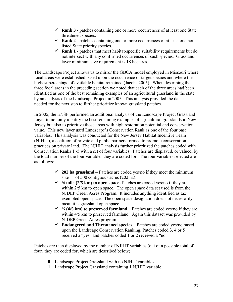- 9 **Rank 3** patches containing one or more occurrences of at least one State threatened species.
- $\checkmark$  **Rank 2** patches containing one or more occurrences of at least one nonlisted State priority species.
- $\checkmark$  **Rank 1** patches that meet habitat-specific suitability requirements but do not intersect with any confirmed occurrences of such species. Grassland layer minimum size requirement is 18 hectares.

The Landscape Project allows us to mirror the GBCA model employed in Missouri where focal areas were established based upon the occurrence of target species and where the highest percentage of available habitat remained (Jacobs 2005). When describing the three focal areas in the preceding section we noted that each of the three areas had been identified as one of the best remaining examples of an agricultural grassland in the state by an analysis of the Landscape Project in 2005. This analysis provided the dataset needed for the next step to further prioritize known grassland patches.

In 2005, the ENSP performed an additional analysis of the Landscape Project Grassland Layer to not only identify the best remaining examples of agricultural grasslands in New Jersey but also to prioritize those areas with high restoration potential and conservation value. This new layer used Landscape's Conservation Rank as one of the four base variables. This analysis was conducted for the New Jersey Habitat Incentive Team (NJHIT), a coalition of private and public partners formed to promote conservation practices on private land. The NJHIT analysis further prioritized the patches coded with Conservation Ranks 1 -5 with a set of four variables. Patches are displayed, or valued, by the total number of the four variables they are coded for. The four variables selected are as follows:

- $\checkmark$  202 ha grassland Patches are coded yes/no if they meet the minimum size of 500 contiguous acres (202 ha).
- $\frac{1}{4}$  mile (2/5 km) to open space- Patches are coded yes/no if they are within 2/5 km to open space. The open space data set used is from the NJDEP Green Acres Program. It includes anything identified as tax exempted open space. The open space designation does not necessarily mean it is grassland open space.
- $\frac{1}{2}$  (4/5 km) to preserved farmland Patches are coded yes/no if they are within  $4/5$  km to preserved farmland. Again this dataset was provided by NJDEP Green Acres program.
- $\checkmark$  **Endangered and Threatened species** Patches are coded yes/no based upon the Landscape Conservation Ranking. Patches coded 3, 4 or 5 received a "yes" and patches coded 1 or 2 received a "no".

Patches are then displayed by the number of NJHIT variables (out of a possible total of four) they are coded for, which are described below;

- **0**  Landscape Project Grassland with no NJHIT variables.
- **1** Landscape Project Grassland containing 1 NJHIT variable.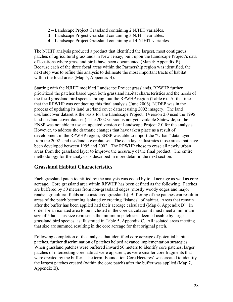- **2** Landscape Project Grassland containing 2 NJHIT variables.
- **3** Landscape Project Grassland containing 3 NJHIT variables.
- **4** Landscape Project Grassland containing all 4 NJHIT variables.

The NJHIT analysis produced a product that identified the largest, most contiguous patches of agricultural grasslands in New Jersey, built upon the Landscape Project's data of locations where grassland birds have been documented (Map 4; Appendix B). Because each of the three focal areas within the Partnership region was identified, the next step was to refine this analysis to delineate the most important tracts of habitat within the focal areas (Map 5, Appendix B).

Starting with the NJHIT modified Landscape Project grasslands, RPWHP further prioritized the patches based upon both grassland habitat characteristics and the needs of the focal grassland bird species throughout the RPWHP region (Table 6). At the time that the RPWHP was conducting this final analysis (June 2006), NJDEP was in the process of updating its land use/land cover dataset using 2002 imagery. The land use/landcover dataset is the basis for the Landscape Project. (Version 2.0 used the 1995 land use/land cover dataset.) The 2002 version is not yet available Statewide, so the ENSP was not able to use an updated version of Landscape Project 2.0 for the analysis. However, to address the dramatic changes that have taken place as a result of development in the RPWHP region, ENSP was able to import the "Urban" data layer from the 2002 land use/land cover dataset. The data layer illustrates those areas that have been developed between 1995 and 2002. The RPWHP chose to erase all newly urban areas from the grassland layer to improve the accuracy of the final product. The entire methodology for the analysis is described in more detail in the next section.

#### **Grassland Habitat Characteristics**

Each grassland patch identified by the analysis was coded by total acreage as well as core acreage. Core grassland area within RPWHP has been defined as the following. Patches are buffered by 50 meters from non-grassland edges (mostly woody edges and major roads; agricultural fields are considered grasslands). Buffering of the patches can result in areas of the patch becoming isolated or creating "islands" of habitat. Areas that remain after the buffer has been applied had their acreage calculated (Map 6, Appendix B). In order for an isolated area to be included in the core calculation it must meet a minimum size of 5 ha. This size represents the minimum patch size deemed usable by target grassland bird species, as illustrated in Table 5, Appendix C. All isolated areas meeting that size are summed resulting in the core acreage for that original patch.

**F**ollowing completion of the analysis that identified core acreage of potential habitat patches, further discrimination of patches helped advance implementation strategies. When grassland patches were buffered inward 50 meters to identify core patches, larger patches of intersecting core habitat were apparent, as were smaller core fragments that were created by the buffer. The term 'Foundation Core Hectares' was created to identify the largest patches created (within the core patch) after the buffer was applied (Map 7, Appendix B).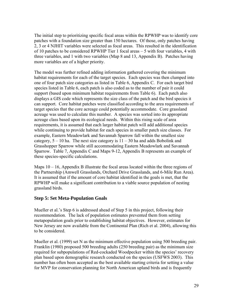<span id="page-29-0"></span>The initial step to prioritizing specific focal areas within the RPWHP was to identify core patches with a foundation size greater than 150 hectares. Of those, only patches having 2, 3 or 4 NJHIT variables were selected as focal areas. This resulted in the identification of 10 patches to be considered RPWHP Tier 1 focal areas – 5 with four variables, 4 with three variables, and 1 with two variables (Map 8 and 13, Appendix B). Patches having more variables are of a higher priority.

The model was further refined adding information gathered covering the minimum habitat requirements for each of the target species. Each species was then clumped into one of four patch size categories as listed in Table 6, Appendix C. For each target bird species listed in Table 6, each patch is also coded as to the number of pair it could support (based upon minimum habitat requirements from Table 6). Each patch also displays a GIS code which represents the size class of the patch and the bird species it can support. Core habitat patches were classified according to the area requirements of target species that the core acreage could potentially accommodate. Core grassland acreage was used to calculate this number. A species was sorted into its appropriate acreage class based upon its ecological needs. Within this rising scale of area requirements, it is assumed that each larger habitat patch will add additional species while continuing to provide habitat for each species in smaller patch size classes. For example, Eastern Meadowlark and Savannah Sparrow fall within the smallest size category,  $5 - 10$  ha. The next size category is  $11 - 30$  ha and adds Bobolink and Grasshopper Sparrow while still accommodating Eastern Meadowlark and Savannah Sparrow. Table 7, Appendix C and Maps 9-12, Appendix B represents an example of these species-specific calculations.

Maps  $10 - 16$ , Appendix B illustrate the focal areas located within the three regions of the Partnership (Amwell Grasslands, Orchard Drive Grasslands, and 6-Mile Run Area). It is assumed that if the amount of core habitat identified in the goals is met, that the RPWHP will make a significant contribution to a viable source population of nesting grassland birds.

#### **Step 5: Set Meta-Population Goals**

Mueller et al.'s Step 6 is addressed ahead of Step 5 in this project, following their recommendation. The lack of population estimates prevented them from setting metapopulation goals prior to establishing habitat objectives. However, estimates for New Jersey are now available from the Continental Plan (Rich et al. 2004), allowing this to be considered.

Mueller et al. (1999) set N as the minimum effective population using 500 breeding pair. Franklin (1980) proposed 500 breeding adults (250 breeding pair) as the minimum size required for subpopulations of Red-cockaded Woodpecker within the species' recovery plan based upon demographic research conducted on the species (USFWS 2003). This number has often been accepted as the best available starting criteria for setting a value for MVP for conservation planning for North American upland birds and is frequently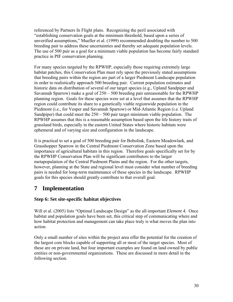<span id="page-30-0"></span>referenced by Partners In Flight plans. Recognizing the peril associated with "establishing conservation goals at the minimum threshold, based upon a series of unverified assumptions," Mueller et al. (1999) recommended doubling the number to 500 breeding pair to address these uncertainties and thereby set adequate population levels. The use of 500 pair as a goal for a minimum viable population has become fairly standard practice in PIF conservation planning.

For many species targeted by the RPWHP, especially those requiring extremely large habitat patches, this Conservation Plan must rely upon the previously stated assumptions that breeding pairs within the region are part of a larger Piedmont Landscape population in order to realistically approach 500 breeding pair. Current population estimates and historic data on distribution of several of our target species (e.g., Upland Sandpiper and Savannah Sparrow) make a goal of 250 – 500 breeding pair unreasonable for the RPWHP planning region. Goals for these species were set at a level that assumes that the RPWHP region could contribute its share to a genetically viable regionwide population in the Piedmont (i.e., for Vesper and Savannah Sparrow) or Mid-Atlantic Region (i.e. Upland Sandpiper) that could meet the 250 – 500 pair target minimum viable population. The RPWHP assumes that this is a reasonable assumption based upon the life history traits of grassland birds, especially in the eastern United States where historic habitats were ephemeral and of varying size and configuration in the landscape.

It is practical to set a goal of 500 breeding pair for Bobolink, Eastern Meadowlark, and Grasshopper Sparrow in the Central Piedmont Conservation Zone based upon the importance of agricultural habitats in this region. Therefore goals specifically set for by the RPWHP Conservation Plan will be significant contributors to the larger metapopulation of the Central Piedmont Plains and the region. For the other targets, however, planning at the State and regional level must consider what number of breeding pairs is needed for long-term maintenance of these species in the landscape. RPWHP goals for this species should greatly contribute to that overall goal.

# **7 Implementation**

## **Step 6: Set site-specific habitat objectives**

Will et al. (2005) lists "Optimal Landscape Design" as the all-important *Element 4.* Once habitat and population goals have been set, this critical step of communicating where and how habitat protection and management can take place truly is what moves the plan into action.

Only a small number of sites within the project area offer the potential for the creation of the largest core blocks capable of supporting all or most of the target species. Most of these are on private land, but four important examples are found on land owned by public entities or non-governmental organizations. These are discussed in more detail in the following section.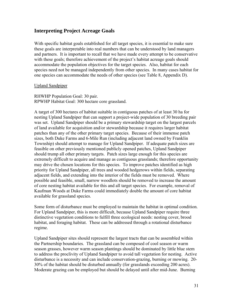#### <span id="page-31-0"></span>**Interpreting Project Acreage Goals**

With specific habitat goals established for all target species, it is essential to make sure these goals are interpretable into real numbers that can be understood by land managers and partners. It is important to recall that we have made every attempt to be conservative with these goals; therefore achievement of the project's habitat acreage goals should accommodate the population objectives for the target species. Also, habitat for each species need not be managed independently from other species. In many cases habitat for one species can accommodate the needs of other species (see Table 8, Appendix D).

#### Upland Sandpiper

RHWHP Population Goal: 30 pair. RPWHP Habitat Goal: 300 hectare core grassland.

A target of 300 hectares of habitat suitable in contiguous patches of at least 30 ha for nesting Upland Sandpiper that can support a project-wide population of 30 breeding pair was set. Upland Sandpiper should be a primary stewardship target on the largest parcels of land available for acquisition and/or stewardship because it requires larger habitat patches than any of the other primary target species. Because of their immense patch sizes, both Duke Farms and 6-Mile Run (including adjacent land owned by Franklin Township) should attempt to manage for Upland Sandpiper. If adequate patch sizes are feasible on other previously mentioned publicly opened patches, Upland Sandpiper should trump all other primary targets. Patch sizes large enough for this species are extremely difficult to acquire and manage as contiguous grasslands; therefore opportunity may drive the chosen locations for this species. To improve patches identified as high priority for Upland Sandpiper, all trees and wooded hedgerows within fields, separating adjacent fields, and extending into the interior of the fields must be removed. Where possible and feasible, small, narrow woodlots should be removed to increase the amount of core nesting habitat available for this and all target species. For example, removal of Kaufman Woods at Duke Farms could immediately double the amount of core habitat available for grassland species.

Some form of disturbance must be employed to maintain the habitat in optimal condition. For Upland Sandpiper, this is more difficult, because Upland Sandpiper require three distinctive vegetation conditions to fulfill three ecological needs: nesting cover, brood habitat, and foraging habitat. These can be addressed through a rotational disturbance regime.

Upland Sandpiper sites should represent the largest tracts that can be assembled within the Partnership boundaries. The grassland can be composed of cool season or warm season grasses, however warm season plantings should be dominated by little blue stem to address the proclivity of Upland Sandpiper to avoid tall vegetation for nesting. Active disturbance is a necessity and can include conservation-grazing, burning or mowing. 20- 30% of the habitat should be disturbed annually (for grasslands exceeding 200 acres). Moderate grazing can be employed but should be delayed until after mid-June. Burning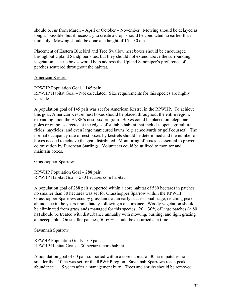should occur from March – April or October – November. Mowing should be delayed as long as possible, but if necessary to create a crop, should be conducted no earlier than mid-July. Mowing should be done at a height of  $15 - 30$  cm.

Placement of Eastern Bluebird and Tree Swallow nest boxes should be encouraged throughout Upland Sandpiper sites, but they should not extend above the surrounding vegetation. These boxes would help address the Upland Sandpiper's preference of perches scattered throughout the habitat.

#### American Kestrel

RPWHP Population Goal – 145 pair. RPWHP Habitat Goal – Not calculated. Size requirements for this species are highly variable.

A population goal of 145 pair was set for American Kestrel in the RPWHP. To achieve this goal, American Kestrel nest boxes should be placed throughout the entire region, expanding upon the ENSP's nest box program. Boxes could be placed on telephone poles or on poles erected at the edges of suitable habitat that includes open agricultural fields, hayfields, and even large manicured lawns (e.g. schoolyards or golf courses). The normal occupancy rate of nest boxes by kestrels should be determined and the number of boxes needed to achieve the goal distributed. Monitoring of boxes is essential to prevent colonization by European Starlings. Volunteers could be utilized to monitor and maintain boxes.

#### Grasshopper Sparrow

RPWHP Population Goal – 288 pair. RPWHP Habitat Goal – 580 hectares core habitat.

A population goal of 288 pair supported within a core habitat of 580 hectares in patches no smaller than 30 hectares was set for Grasshopper Sparrow within the RPWHP. Grasshopper Sparrows occupy grasslands at an early successional stage, reaching peak abundance in the years immediately following a disturbance. Woody vegetation should be eliminated from grasslands managed for this species.  $20 - 30\%$  of large patches ( $> 80$ ) ha) should be treated with disturbance annually with mowing, burning, and light grazing all acceptable. On smaller patches, 50-60% should be disturbed at a time.

#### Savannah Sparrow

RPWHP Population Goals – 60 pair. RPWHP Habitat Goals – 30 hectares core habitat.

A population goal of 60 pair supported within a core habitat of 30 ha in patches no smaller than 10 ha was set for the RPWHP region. Savannah Sparrows reach peak abundance  $1 - 5$  years after a management burn. Trees and shrubs should be removed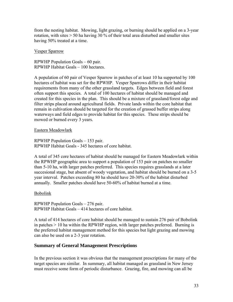<span id="page-33-0"></span>from the nesting habitat. Mowing, light grazing, or burning should be applied on a 3-year rotation, with sites > 50 ha having 30 % of their total area disturbed and smaller sites having 50% treated at a time.

#### Vesper Sparrow

RPWHP Population Goals – 60 pair. RPWHP Habitat Goals – 100 hectares.

A population of 60 pair of Vesper Sparrow in patches of at least 10 ha supported by 100 hectares of habitat was set for the RPWHP. Vesper Sparrows differ in their habitat requirements from many of the other grassland targets. Edges between field and forest often support this species. A total of 100 hectares of habitat should be managed and created for this species in the plan. This should be a mixture of grassland/forest edge and filter strips placed around agricultural fields. Private lands within the core habitat that remain in cultivation should be targeted for the creation of grassed buffer strips along waterways and field edges to provide habitat for this species. These strips should be mowed or burned every 3 years.

#### Eastern Meadowlark

RPWHP Population Goals – 153 pair. RPWHP Habitat Goals - 345 hectares of core habitat.

A total of 345 core hectares of habitat should be managed for Eastern Meadowlark within the RPWHP geographic area to support a population of 153 pair on patches no smaller than 5-10 ha, with larger patches preferred. This species requires grasslands at a later succesional stage, but absent of woody vegetation, and habitat should be burned on a 3-5 year interval. Patches exceeding 80 ha should have 20-30% of the habitat disturbed annually. Smaller patches should have 50-60% of habitat burned at a time.

#### Bobolink

RPWHP Population Goals – 276 pair. RPWHP Habitat Goals – 414 hectares of core habitat.

A total of 414 hectares of core habitat should be managed to sustain 276 pair of Bobolink in patches  $> 10$  ha within the RPWHP region, with larger patches preferred. Burning is the preferred habitat management method for this species but light grazing and mowing can also be used on a 2-3 year rotation.

#### **Summary of General Management Prescriptions**

In the previous section it was obvious that the management prescriptions for many of the target species are similar. In summary, all habitat managed as grassland in New Jersey must receive some form of periodic disturbance. Grazing, fire, and mowing can all be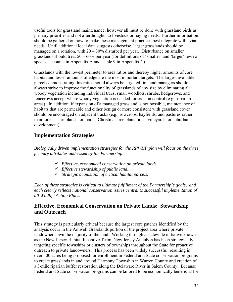<span id="page-34-0"></span>useful tools for grassland maintenance; however all must be done with grassland birds as primary priorities and not afterthoughts to livestock or haying needs. Further information should be gathered on how to make these management practices best integrate with avian needs. Until additional local data suggests otherwise, larger grasslands should be managed on a rotation, with  $20 - 30\%$  disturbed per year. Disturbance on smaller grasslands should treat  $50 - 60\%$  per year (for definitions of 'smaller' and 'larger' review species accounts in Appendix A and Table 9 in Appendix C).

Grasslands with the lowest perimeter to area ratios and thereby higher amounts of core habitat and lesser amounts of edge are the most important targets. The largest available parcels demonstrating this ratio should always be targeted first and managers should always strive to improve the functionality of grasslands of any size by eliminating all woody vegetation including individual trees, small woodlots, shrubs, hedgerows, and fencerows accept where woody vegetation is needed for erosion control (e.g., riparian areas). In addition, if expansion of a managed grassland is not possible, maintenance of habitats that are permeable and either benign or more consistent with grassland cover should be encouraged on adjacent tracks (e.g., rowcrops, hayfields, and pastures rather than forests, shrublands, orchards, Christmas tree plantations, vineyards, or suburban development).

## **Implementation Strategies**

*Biologically driven implementation strategies for the RPWHP plan will focus on the three primary attributes addressed by the Partnership:* 

- 9 *Effective, economical conservation on private lands.*
- 9 *Effective stewardship of public land.*
- 9 *Strategic acquisition of critical habitat parcels.*

*Each of these strategies is critical to ultimate fulfillment of the Partnership's goals, and each clearly reflects national conservation issues central to successful implementation of all Wildlife Action Plans.* 

## **Effective, Economical Conservation on Private Lands: Stewardship and Outreach**

This strategy is particularly critical because the largest core patches identified by the analysis occur in the Amwell Grasslands portion of the project area where private landowners own the majority of the land. Working through a statewide initiative known as the New Jersey Habitat Incentive Team, New Jersey Audubon has been strategically targeting specific townships or clusters of townships throughout the State for proactive outreach to private landowners. This process has been widely successful, resulting in over 500 acres being proposed for enrollment in Federal and State conservation programs to create grasslands in and around Harmony Township in Warren County and creation of a 3-mile riparian buffer restoration along the Delaware River in Salem County. Because Federal and State conservation programs can be tailored to be economically beneficial for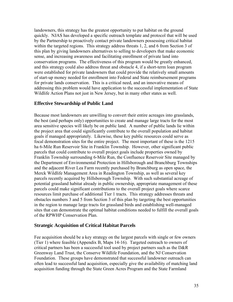landowners, this strategy has the greatest opportunity to put habitat on the ground quickly. NJAS has developed a specific outreach template and protocol that will be used by the Partnership to proactively contact private landowners possessing critical habitat within the targeted regions. This strategy address threats 1, 2, and 6 from Section 3 of this plan by giving landowners alternatives to selling to developers that make economic sense, and increasing awareness and facilitating enrollment of private land into conservation programs. The effectiveness of this program would be greatly enhanced, and this strategy could also address threat and obstacle 4, if a short-term loan program were established for private landowners that could provide the relatively small amounts of start-up money needed for enrollment into Federal and State reimbursement programs for private lands conservation. This is a critical need, and an innovative means of addressing this problem would have application to the successful implementation of State Wildlife Action Plans not just in New Jersey, but in many other states as well.

#### **Effective Stewardship of Public Land**

Because most landowners are unwilling to convert their entire acreages into grasslands, the best (and perhaps only) opportunities to create and manage large tracts for the most area sensitive species will likely be on public land. A number of public lands lie within the project area that could significantly contribute to the overall population and habitat goals if managed appropriately. Likewise, these key public resources could serve as focal demonstration sites for the entire project. The most important of these is the 1215 ha 6-Mile Run Reservoir Site in Franklin Township. However, other significant public parcels that could contribute to overall project goals include properties owned by Franklin Township surrounding 6-Mile Run, the Confluence Reservoir Site managed by the Department of Environmental Protection in Hillsborough and Branchburg Townships and the adjacent River Lea Farm recently purchased by Branchburg as open space, the Merck Wildlife Management Area in Readington Township, as well as several key parcels recently acquired by Hillsborough Township. With such substantial acreage of potential grassland habitat already in public ownership, appropriate management of these parcels could make significant contributions to the overall project goals where scarce resources limit purchase of additional Tier 1 tracts. This strategy addresses threats and obstacles numbers 3 and 5 from Section 3 of this plan by targeting the best opportunities in the region to manage large tracts for grassland birds and establishing well-managed sites that can demonstrate the optimal habitat conditions needed to fulfill the overall goals of the RPWHP Conservation Plan.

#### **Strategic Acquisition of Critical Habitat Parcels**

Fee acquisition should be a key strategy on the largest parcels with single or few owners (Tier 1) where feasible (Appendix B, Maps 14-16). Targeted outreach to owners of critical partners has been a successful tool used by project partners such as the D&R Greenway Land Trust, the Conserve Wildlife Foundation, and the NJ Conservation Foundation. These groups have demonstrated that successful landowner outreach can often lead to successful land acquisition, especially give the availability of matching land acquisition funding through the State Green Acres Program and the State Farmland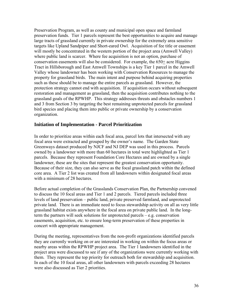Preservation Program, as well as county and municipal open space and farmland preservation funds. Tier 1 parcels represent the best opportunities to acquire and manage large tracts of grassland currently in private ownership for the extremely area sensitive targets like Upland Sandpiper and Short-eared Owl. Acquisition of fee title or easement will mostly be concentrated in the western portion of the project area (Amwell Valley) where public land is scarcer. Where fee acquisition is not an option, purchase of conservation easements will also be considered. For example, the 650+ acre Higgins Tract in Hillsborough and East Amwell Townships is a key Tier 1 parcel in the Amwell Valley whose landowner has been working with Conservation Resources to manage the property for grassland birds. The main intent and purpose behind acquiring properties such as these should be to manage the entire parcels as grassland. However, the protection strategy cannot end with acquisition. If acquisition occurs without subsequent restoration and management as grassland, then the acquisition contributes nothing to the grassland goals of the RPWHP. This strategy addresses threats and obstacles numbers 1 and 3 from Section 3 by targeting the best remaining unprotected parcels for grassland bird species and placing them into public or private ownership by a conservation organization.

#### **Initiation of Implementation - Parcel Prioritization**

In order to prioritize areas within each focal area, parcel lots that intersected with any focal area were extracted and grouped by the owner's name. The Garden State Greenways dataset produced by NJCF and NJ DEP was used in this process. Parcels owned by a landowner with more than 60 hectares in total were highlighted as Tier 1 parcels. Because they represent Foundation Core Hectares and are owned by a single landowner, these are the sites that represent the greatest conservation opportunity. Because of their size, they can also serve as the focal grassland patch within the defined core area. A Tier 2 list was created from all landowners within designated focal areas with a minimum of 28 hectares.

Before actual completion of the Grasslands Conservation Plan, the Partnership convened to discuss the 10 focal areas and Tier 1 and 2 parcels. Tiered parcels included three levels of land preservation – public land, private preserved farmland, and unprotected private land. There is an immediate need to focus stewardship activity on all as very little grassland habitat exists anywhere in the focal area on private public land. In the longterm the partners will seek solutions for unprotected parcels – e.g. conservation easements, acquisition, etc. to ensure long-term preservation of these properties in concert with appropriate management.

During the meeting, representatives from the non-profit organizations identified parcels they are currently working on or are interested in working on within the focus areas or nearby areas within the RPWHP project area. The Tier 1 landowners identified in the project area were discussed to see if any of the organizations were currently working with them. They represent the top priority for outreach both for stewardship and acquisition. In each of the 10 focal areas, all other landowners with parcels exceeding 28 hectares were also discussed as Tier 2 priorities.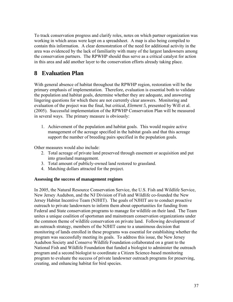<span id="page-37-0"></span>To track conservation progress and clarify roles, notes on which partner organization was working in which areas were kept on a spreadsheet. A map is also being compiled to contain this information. A clear demonstration of the need for additional activity in the area was evidenced by the lack of familiarity with many of the largest landowners among the conservation partners. The RPWHP should thus serve as a critical catalyst for action in this area and add another layer to the conservation efforts already taking place.

# **8 Evaluation Plan**

With general absence of habitat throughout the RPWHP region, restoration will be the primary emphasis of implementation. Therefore, evaluation is essential both to validate the population and habitat goals, determine whether they are adequate, and answering lingering questions for which there are not currently clear answers. Monitoring and evaluation of the project was the final, but critical, *Element 5,* presented by Will et al. (2005). Successful implementation of the RPWHP Conservation Plan will be measured in several ways. The primary measure is obviously:

1. Achievement of the population and habitat goals. This would require active management of the acreage specified in the habitat goals and that this acreage support the number of breeding pairs specified in the population goals.

Other measures would also include:

- 2. Total acreage of private land preserved through easement or acquisition and put into grassland management.
- 3. Total amount of publicly-owned land restored to grassland.
- 4. Matching dollars attracted for the project.

#### **Assessing the success of management regimes**

In 2005, the Natural Resource Conservation Service, the U.S. Fish and Wildlife Service, New Jersey Audubon, and the NJ Division of Fish and Wildlife co-founded the New Jersey Habitat Incentive Team (NJHIT). The goals of NJHIT are to conduct proactive outreach to private landowners to inform them about opportunities for funding from Federal and State conservation programs to manage for wildlife on their land. The Team unites a unique coalition of sportsman and mainstream conservation organizations under the common theme of wildlife conservation on private land. Following development of an outreach strategy, members of the NJHIT came to a unanimous decision that monitoring of lands enrolled in these programs was essential for establishing whether the program was successfully meeting its goals. To address this issue, the New Jersey Audubon Society and Conserve Wildlife Foundation collaborated on a grant to the National Fish and Wildlife Foundation that funded a biologist to administer the outreach program and a second biologist to coordinate a Citizen Science-based monitoring program to evaluate the success of private landowner outreach programs for preserving, creating, and enhancing habitat for bird species.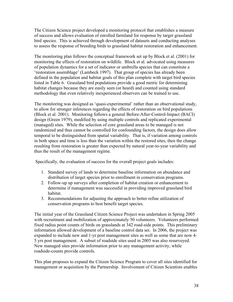The Citizen Science project developed a monitoring protocol that establishes a measure of success and allows evaluation of enrolled farmland for response by target grassland bird species. This is achieved through development of datasets and conducting analyses to assess the response of breeding birds to grassland habitat restoration and enhancement.

The monitoring plan follows the conceptual framework set up by Block et al. (2001) for monitoring the effects of restoration on wildlife. Block et al. advocated using measures of population dynamics for a set of indicator or umbrella species that can constitute a 'restoration assemblage' (Lambeck 1997). That group of species has already been defined in the population and habitat goals of this plan complete with target bird species listed in Table 6. Grassland bird populations provide a good metric for determining habitat changes because they are easily seen (or heard) and counted using standard methodology that even relatively inexperienced observers can be trained to use.

The monitoring was designed as 'quasi-experimental' rather than an observational study, to allow for stronger inferences regarding the effects of restoration on bird populations (Block et al. 2001). Monitoring follows a general Before-After-Control-Impact (BACI) design (Green 1979), modified by using multiple controls and replicated experimental (managed) sites. While the selection of core grassland areas to be managed is not randomized and thus cannot be controlled for confounding factors, the design does allow temporal to be distinguished from spatial variability. That is, if variation among controls in both space and time is less than the variation within the restored sites, then the change resulting from restoration is greater than expected by natural year-to-year variability and thus the result of the management regime.

Specifically, the evaluation of success for the overall project goals includes:

- 1. Standard survey of lands to determine baseline information on abundance and distribution of target species prior to enrollment in conservation programs.
- 2. Follow-up up surveys after completion of habitat creation or enhancement to determine if management was successful in providing improved grassland bird habitat.
- 3. Recommendations for adjusting the approach to better refine utilization of conservation programs to best benefit target species.

The initial year of the Grassland Citizen Science Project was undertaken in Spring 2005 with recruitment and mobilization of approximately 50 volunteers. Volunteers performed fixed radius point counts of birds on grasslands at 342 road-side points. This preliminary information allowed development of a baseline control data set. In 2006, the project was expanded to include new and 1-yr post management sites as well as some that are now 4- 5 yrs post management. A subset of roadside sites used in 2005 was also resurveyed. New managed sites provide information prior to any management activity, while roadside-counts provide controls.

This plan proposes to expand the Citizen Science Program to cover all sites identified for management or acquisition by the Partnership. Involvement of Citizen Scientists enables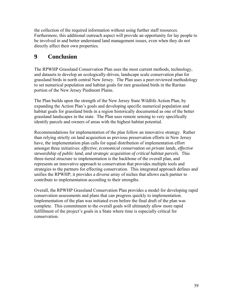the collection of the required information without using further staff resources. Furthermore, this additional outreach aspect will provide an opportunity for lay people to be involved in and better understand land management issues, even when they do not directly affect their own properties.

# **9 Conclusion**

The RPWHP Grassland Conservation Plan uses the most current methods, technology, and datasets to develop an ecologically-driven, landscape scale conservation plan for grassland birds in north central New Jersey. The Plan uses a peer-reviewed methodology to set numerical population and habitat goals for rare grassland birds in the Raritan portion of the New Jersey Piedmont Plains.

The Plan builds upon the strength of the New Jersey State Wildlife Action Plan, by expanding the Action Plan's goals and developing specific numerical population and habitat goals for grassland birds in a region historically documented as one of the better grassland landscapes in the state. The Plan uses remote sensing to very specifically identify parcels and owners of areas with the highest habitat potential.

Recommendations for implementation of the plan follow an innovative strategy. Rather than relying strictly on land acquisition as previous preservation efforts in New Jersey have, the implementation plan calls for equal distribution of implementation effort amongst three initiatives: *effective, economical conservation on private lands, effective stewardship of public land, and strategic acquisition of critical habitat parcels.* This three-tiered structure to implementation is the backbone of the overall plan, and represents an innovative approach to conservation that provides multiple tools and strategies to the partners for effecting conservation. This integrated approach defines and unifies the RPWHP; it provides a diverse array of niches that allows each partner to contribute to implementation according to their strengths.

Overall, the RPWHP Grassland Conservation Plan provides a model for developing rapid conservation assessments and plans that can progress quickly to implementation. Implementation of the plan was initiated even before the final draft of the plan was complete. This commitment to the overall goals will ultimately allow more rapid fulfillment of the project's goals in a State where time is especially critical for conservation.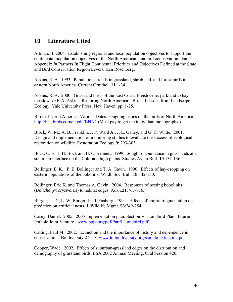# <span id="page-40-0"></span>**10 Literature Cited**

Altman. B. 2004. Establishing regional and local population objectives to support the continental population objectives of the North American landbird conservation plan. Appendix *In* Partners In Flight Continental Priorities and Objectives Defined at the State and Bird Conservation Region Levels. Ken Rosenberg.

Askins, R. A. 1993. Populations trends in grassland, shrubland, and forest birds in eastern North America. Current Ornithol. **11**:1-34.

Askins, R. A. 2000. Grassland birds of the East Coast: Pleistocene: parkland to hay meadow. *In* R.A. Askins, Restoring North America's Birds: Lessons from Landscape Ecology. Yale University Press, New Haven, pp. 1-25.

Birds of North America. Various Dates. Ongoing series on the birds of North America. <http://bna.birds.cornell.edu/BNA/>(Must pay to get the individual monographs.)

Block, W. M., A. B. Franklin, J. P. Ward Jr., J. L. Ganey, and G. C. White. 2001. Design and implementation of monitoring studies to evaluate the success of ecological restoration on wildlife. Restoration Ecology **9**: 293-303.

Bock, C. E., J. H. Bock and B. C. Bennett. 1999. Songbird abundance in grasslands at a suburban interface on the Colorado high plains. Studies Avian Biol. **19**:131-136.

Bollinger, E. K.., P. B. Bollinger and T. A. Gavin. 1990. Effects of hay-cropping on eastern populations of the bobolink. Wildl. Soc. Bull. **18**:142-150.

Bollinger, Eric K. and Thomas A. Gavin. 2004. Responses of nesting bobolinks (*Dolichonyx oryzivorus*) to habitat edges. Auk **121**:767-776.

Burger, L. D., L. W. Burger, Jr., J. Faaborg. 1994. Effects of prairie fragmentation on predation on artificial nests. J. Wildlife Mgmt. **58**:249-254.

Casey, Daniel. 2005. 2005 Implementation plan: Section V - Landbird Plan. Prairie Pothole Joint Venture. www.ppjv.org/pdf/Part5\_Landbird.pdf

Catling, Paul M. 2002. Extinction and the importance of history and dependence in conservation. Biodiversity **2**:2-13. [www.tc-biodiversity.org/sample-extinction.pdf](http://www.tc-biodiversity.org/sample-extinction.pdf)

Cooper, Wade. 2002. Effects of suburban-grassland edges on the distribution and demography of grassland birds. ESA 2002 Annual Meeting, Oral Session #20.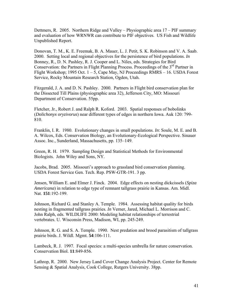Dettmers, R. 2005. Northern Ridge and Valley – Physiographic area 17 – PIF summary and evaluation of how WRNWR can contribute to PIF objectives. US Fish and Wildlife Unpublished Report.

Donovan, T. M., K. E. Freemak, B. A. Mauer, L. J. Petit, S. K. Robinson and V. A. Saab. 2000. Setting local and regional objectives for the persistence of bird populations. *In* Bonney, R., D. N. Pashley, R. J. Cooper and L. Niles, eds. Strategies for Bird Conservation: the Partners in Flight Planning Process. Proceedings of the  $3<sup>rd</sup>$  Partner in Flight Workshop; 1995 Oct.  $1 - 5$ , Cape May, NJ Proceedings RMRS – 16. USDA Forest Service, Rocky Mountain Research Station, Ogden, Utah.

Fitzgerald, J. A. and D. N. Pashley. 2000. Partners in Flight bird conservation plan for the Dissected Till Plains (physiographic area 32), Jefferson City, MO: Missouri Department of Conservation. 55pp.

Fletcher, Jr., Robert J. and Ralph R. Koford. 2003. Spatial responses of bobolinks (*Dolichonyx oryzivorus*) near different types of edges in northern Iowa. Auk 120: 799- 810.

Franklin, I. R. 1980. Evolutionary changes in small populations. *In*: Soule, M. E. and B. A. Wilcox, Eds. Conservation Biology, an Evolutionary-Ecological Perspective. Sinauer Assoc. Inc., Sunderland, Massachusetts, pp. 135–149.

Green, R. H. 1979. Sampling Design and Statistical Methods for Environmental Biologists. John Wiley and Sons, NY.

Jacobs, Brad. 2005. Missouri's approach to grassland bird conservation planning. USDA Forest Service Gen. Tech. Rep. PSW-GTR-191. 3 pp.

Jensen, William E. and Elmer J. Finck. 2004. Edge effects on nesting dickcissels (*Spiza Americana*) in relation to edge type of remnant tallgrass prairie in Kansas. Am. Midl. Nat. **151**:192-199.

Johnson, Richard G. and Stanley A. Temple. 1984. Assessing habitat quality for birds nesting in fragmented tallgrass prairies. *In* Verner, Jared, Michael L. Morrison and C. John Ralph, eds. WILDLIFE 2000: Modeling habitat relationships of terrestrial vertebrates. U. Wisconsin Press, Madison, WI, pp. 245-249.

Johnson, R. G. and S. A. Temple. 1990. Nest predation and brood parasitism of tallgrass prairie birds. J. Wildl. Mgmt. **54**:106-111.

Lambeck, R. J. 1997. Focal species: a multi-species umbrella for nature conservation. Conservation Biol. **11**:849-856.

Lathrop, R. 2000. New Jersey Land Cover Change Analysis Project. Center for Remote Sensing & Spatial Analysis, Cook College, Rutgers University. 38pp.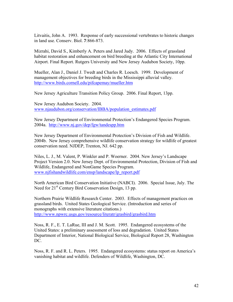Litvaitis, John A. 1993. Response of early successional vertebrates to historic changes in land use. Conserv. Biol. **7**:866-873.

Mizrahi, David S., Kimberly A. Peters and Jared Judy. 2006. Effects of grassland habitat restoration and enhancement on bird breeding at the Atlantic City International Airport. Final Report. Rutgers University and New Jersey Audubon Society, 10pp.

Mueller, Alan J., Daniel J. Twedt and Charles R. Loesch. 1999. Development of management objectives for breeding birds in the Mississippi alluvial valley. <http://www.birds.cornell.edu/pifcapemay/mueller.htm>

New Jersey Agriculture Transition Policy Group. 2006. Final Report, 13pp.

New Jersey Audubon Society. 2004. [www.njaudubon.org/conservation/IBBA/population\\_estimates.pdf](http://www.njaudubon.org/conservation/IBBA/population_estimates.pdf)

New Jersey Department of Environmental Protection's Endangered Species Program. 2004a. <http://www.nj.gov/dep/fgw/tandespp.htm>

New Jersey Department of Environmental Protection's Division of Fish and Wildlife. 2004b. New Jersey comprehensive wildlife conservation strategy for wildlife of greatest conservation need. NJDEP, Trenton, NJ. 642 pp.

Niles, L. J., M. Valent, P. Winkler and P. Woerner. 2004. New Jersey's Landscape Project Version 2.0. New Jersey Dept. of Environmental Protection, Division of Fish and Wildlife, Endangered and NonGame Species Program. [www.njfishandwildlife.com/ensp/landscape/lp\\_report.pdf](http://www.njfishandwildlife.com/ensp/landscape/lp_report.pdf) 

North American Bird Conservation Initiative (NABCI). 2006. Special Issue, July. The Need for 21<sup>st</sup> Century Bird Conservation Design, 13 pp.

Northern Prairie Wildlife Research Center. 2003. Effects of management practices on grassland birds. United States Geological Service. (Introduction and series of monographs with extensive literature citations.) <http://www.npwrc.usgs.gov/resource/literatr/grasbird/grasbird.htm>

Noss, R. F., E. T. LaRue, III and J. M. Scott. 1995. Endangered ecosystems of the United States: a preliminary assessment of loss and degradation. United States Department of Interior, National Biological Service, Biological Report 28, Washington DC.

Noss, R. F. and R. L. Peters. 1995. Endangered ecosystems: status report on America's vanishing habitat and wildlife. Defenders of Wildlife, Washington, DC.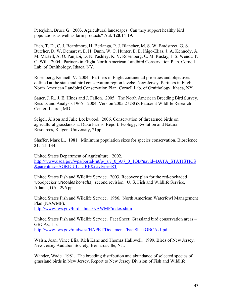Peterjohn, Bruce G. 2003. Agricultural landscapes: Can they support healthy bird populations as well as farm products? Auk **120**:14-19.

Rich, T. D., C. J. Beardmore, H. Berlanga, P. J. Blancher, M. S. W. Bradstreet, G. S. Butcher, D. W. Demarest, E. H. Dunn, W. C. Hunter, E. E. Iñigo-Elias, J. A. Kennedy, A. M. Martell, A. O. Panjabi, D. N. Pashley, K. V. Rosenberg, C. M. Rustay, J. S. Wendt, T. C. Will. 2004. Partners in Flight North American Landbird Conservation Plan. Cornell Lab. of Ornithology. Ithaca, NY.

Rosenberg, Kenneth V. 2004. Partners in Flight continental priorities and objectives defined at the state and bird conservation region levels: New Jersey. Partners in Flight North American Landbird Conservation Plan. Cornell Lab. of Ornithology. Ithaca, NY.

Sauer, J. R., J. E. Hines and J. Fallon. 2005. The North American Breeding Bird Survey, Results and Analysis 1966 – 2004. Version 2005.2 USGS Patuxent Wildlife Research Center, Laurel, MD.

Seigel, Alison and Julie Lockwood. 2006. Conservation of threatened birds on agricultural grasslands at Duke Farms. Report: Ecology, Evolution and Natural Resources, Rutgers University, 21pp.

Shaffer, Mark L.. 1981. Minimum population sizes for species conservation. Bioscience **31**:121-134.

United States Department of Agriculture. 2002. [http://www.usda.gov/wps/portal/!ut/p/\\_s.7\\_0\\_A/7\\_0\\_1OB?navid=DATA\\_STATISTICS](http://www.usda.gov/wps/portal/!ut/p/_s.7_0_A/7_0_1OB?navid=DATA_STATISTICS&parentnav=AGRICULTURE&navtype=RT) [&parentnav=AGRICULTURE&navtype=RT](http://www.usda.gov/wps/portal/!ut/p/_s.7_0_A/7_0_1OB?navid=DATA_STATISTICS&parentnav=AGRICULTURE&navtype=RT) 

United States Fish and Wildlife Service. 2003. Recovery plan for the red-cockaded woodpecker (*Picoides borealis*): second revision. U. S. Fish and Wildlife Service, Atlanta, GA. 296 pp.

United States Fish and Wildlife Service. 1986. North American Waterfowl Management Plan (NAWMP). <http://www.fws.gov/birdhabitat/NAWMP/index.shtm>

United States Fish and Wildlife Service. Fact Sheet: Grassland bird conservation areas – GBCAs, 1 p. <http://www.fws.gov/midwest/HAPET/Documents/FactSheetGBCAs1.pdf>

Walsh, Joan, Vince Elia, Rich Kane and Thomas Halliwell. 1999. Birds of New Jersey. New Jersey Audubon Society, Bernardsville, NJ..

Wander, Wade. 1981. The breeding distribution and abundance of selected species of grassland birds in New Jersey. Report to New Jersey Division of Fish and Wildlife.